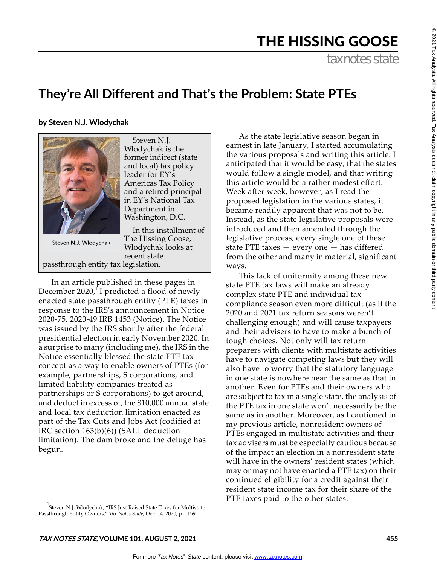$^{\circ}$ 

# THE HISSING GOOSE

tax notes state

# **They're All Different and That's the Problem: State PTEs**

**by Steven N.J. Wlodychak**



Steven N.J. Wlodychak is the former indirect (state and local) tax policy leader for EY's Americas Tax Policy and a retired principal in EY's National Tax Department in Washington, D.C.

In this installment of The Hissing Goose, Wlodychak looks at recent state passthrough entity tax legislation.

In an article published in these pages in December 2020, $^1$  I predicted a flood of newly enacted state passthrough entity (PTE) taxes in response to the IRS's announcement in Notice 2020-75, 2020-49 IRB 1453 (Notice). The Notice was issued by the IRS shortly after the federal presidential election in early November 2020. In a surprise to many (including me), the IRS in the Notice essentially blessed the state PTE tax concept as a way to enable owners of PTEs (for example, partnerships, S corporations, and limited liability companies treated as partnerships or S corporations) to get around, and deduct in excess of, the \$10,000 annual state and local tax deduction limitation enacted as part of the Tax Cuts and Jobs Act (codified at IRC section 163(b)(6)) (SALT deduction limitation). The dam broke and the deluge has begun.

<sup>1</sup> Steven N.J. Wlodychak, "IRS Just Raised State Taxes for Multistate Passthrough Entity Owners," *Tax Notes State*, Dec. 14, 2020, p. 1159.

As the state legislative season began in earnest in late January, I started accumulating the various proposals and writing this article. I anticipated that it would be easy, that the states would follow a single model, and that writing this article would be a rather modest effort. Week after week, however, as I read the proposed legislation in the various states, it became readily apparent that was not to be. Instead, as the state legislative proposals were introduced and then amended through the legislative process, every single one of these state PTE taxes — every one — has differed from the other and many in material, significant ways.

This lack of uniformity among these new state PTE tax laws will make an already complex state PTE and individual tax compliance season even more difficult (as if the 2020 and 2021 tax return seasons weren't challenging enough) and will cause taxpayers and their advisers to have to make a bunch of tough choices. Not only will tax return preparers with clients with multistate activities have to navigate competing laws but they will also have to worry that the statutory language in one state is nowhere near the same as that in another. Even for PTEs and their owners who are subject to tax in a single state, the analysis of the PTE tax in one state won't necessarily be the same as in another. Moreover, as I cautioned in my previous article, nonresident owners of PTEs engaged in multistate activities and their tax advisers must be especially cautious because of the impact an election in a nonresident state will have in the owners' resident states (which may or may not have enacted a PTE tax) on their continued eligibility for a credit against their resident state income tax for their share of the PTE taxes paid to the other states.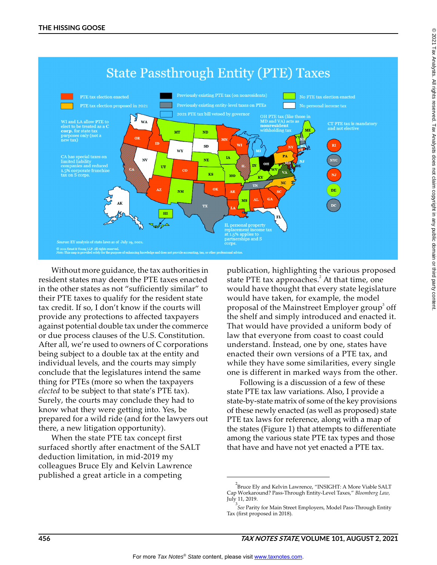

Without more guidance, the tax authorities in resident states may deem the PTE taxes enacted in the other states as not "sufficiently similar" to their PTE taxes to qualify for the resident state tax credit. If so, I don't know if the courts will provide any protections to affected taxpayers against potential double tax under the commerce or due process clauses of the U.S. Constitution. After all, we're used to owners of C corporations being subject to a double tax at the entity and individual levels, and the courts may simply conclude that the legislatures intend the same thing for PTEs (more so when the taxpayers *elected* to be subject to that state's PTE tax). Surely, the courts may conclude they had to know what they were getting into. Yes, be prepared for a wild ride (and for the lawyers out there, a new litigation opportunity).

When the state PTE tax concept first surfaced shortly after enactment of the SALT deduction limitation, in mid-2019 my colleagues Bruce Ely and Kelvin Lawrence published a great article in a competing

publication, highlighting the various proposed state PTE tax approaches.<sup>2</sup> At that time, one would have thought that every state legislature would have taken, for example, the model proposal of the Mainstreet Employer group $^{\rm 3}$  off the shelf and simply introduced and enacted it. That would have provided a uniform body of law that everyone from coast to coast could understand. Instead, one by one, states have enacted their own versions of a PTE tax, and while they have some similarities, every single one is different in marked ways from the other.

Following is a discussion of a few of these state PTE tax law variations. Also, I provide a state-by-state matrix of some of the key provisions of these newly enacted (as well as proposed) state PTE tax laws for reference, along with a map of the states (Figure 1) that attempts to differentiate among the various state PTE tax types and those that have and have not yet enacted a PTE tax.

 $^2$ Bruce Ely and Kelvin Lawrence, "INSIGHT: A More Viable SALT Cap Workaround? Pass-Through Entity-Level Taxes," *Bloomberg Law,* July 11, 2019.

<sup>3</sup> *See* Parity for Main Street Employers, Model Pass-Through Entity Tax (first proposed in 2018).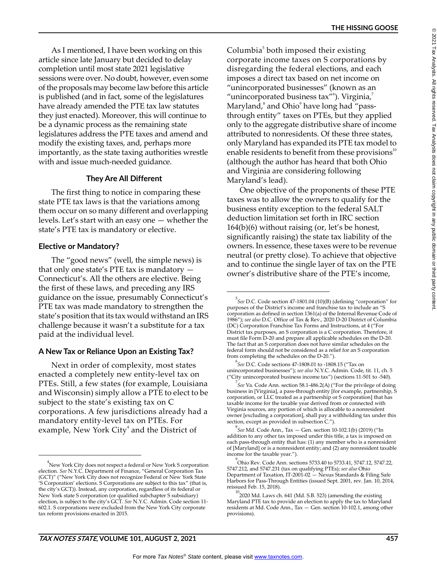As I mentioned, I have been working on this article since late January but decided to delay completion until most state 2021 legislative sessions were over. No doubt, however, even some of the proposals may become law before this article is published (and in fact, some of the legislatures have already amended the PTE tax law statutes they just enacted). Moreover, this will continue to be a dynamic process as the remaining state legislatures address the PTE taxes and amend and modify the existing taxes, and, perhaps more importantly, as the state taxing authorities wrestle with and issue much-needed guidance.

# **They Are All Different**

The first thing to notice in comparing these state PTE tax laws is that the variations among them occur on so many different and overlapping levels. Let's start with an easy one — whether the state's PTE tax is mandatory or elective.

# **Elective or Mandatory?**

The "good news" (well, the simple news) is that only one state's PTE tax is mandatory — Connecticut's. All the others are elective. Being the first of these laws, and preceding any IRS guidance on the issue, presumably Connecticut's PTE tax was made mandatory to strengthen the state's position that its tax would withstand an IRS challenge because it wasn't a substitute for a tax paid at the individual level.

# **A New Tax or Reliance Upon an Existing Tax?**

Next in order of complexity, most states enacted a completely new entity-level tax on PTEs. Still, a few states (for example, Louisiana and Wisconsin) simply allow a PTE to elect to be subject to the state's existing tax on C corporations. A few jurisdictions already had a mandatory entity-level tax on PTEs. For example, New York  $\mathrm{City}^4$  and the District of

Columbia<sup>5</sup> both imposed their existing corporate income taxes on S corporations by disregarding the federal elections, and each imposes a direct tax based on net income on "unincorporated businesses" (known as an "unincorporated business tax"<sup>6</sup>). Virginia,<sup>7</sup> Maryland, $^{\mathrm{s}}$  and Ohio $^{\mathrm{o}}$  have long had "passthrough entity" taxes on PTEs, but they applied only to the aggregate distributive share of income attributed to nonresidents. Of these three states, only Maryland has expanded its PTE tax model to enable residents to benefit from these provisions<sup>10</sup> (although the author has heard that both Ohio and Virginia are considering following Maryland's lead).

One objective of the proponents of these PTE taxes was to allow the owners to qualify for the business entity exception to the federal SALT deduction limitation set forth in IRC section 164(b)(6) without raising (or, let's be honest, significantly raising) the state tax liability of the owners. In essence, these taxes were to be revenue neutral (or pretty close). To achieve that objective and to continue the single layer of tax on the PTE owner's distributive share of the PTE's income,

 $^{4}$ New York City does not respect a federal or New York S corporation election. *See* N.Y.C. Department of Finance, "General Corporation Tax (GCT)" ("New York City does not recognize Federal or New York State 'S Corporation' elections. S Corporations are subject to this tax" (that is, the city's GCT)). Instead, any corporation, regardless of its federal or New York state S corporation (or qualified subchapter S subsidiary) election, is subject to the city's GCT. *See* N.Y.C. Admin. Code section 11- 602.1. S corporations were excluded from the New York City corporate tax reform provisions enacted in 2015.

<sup>5</sup> *See* D.C. Code section 47-1801.04 (10)(B) (defining "corporation" for purposes of the District's income and franchise tax to include an "S corporation as defined in section 1361(a) of the Internal Revenue Code of 1986"); *see also* D.C. Office of Tax & Rev., 2020 D-20 District of Columbia (DC) Corporation Franchise Tax Forms and Instructions, at 4 ("For District tax purposes, an S corporation is a C corporation. Therefore, it must file Form D-20 and prepare all applicable schedules on the D-20. The fact that an S corporation does not have similar schedules on the federal form should not be considered as a relief for an S corporation from completing the schedules on the D-20.").

<sup>6</sup> *See* D.C. Code sections 47-1808.01 to -1808.15 ("Tax on unincorporated businesses"); *see also* N.Y.C. Admin. Code, tit. 11, ch. 5 ("City unincorporated business income tax") (sections 11-501 to -540).

<sup>7</sup> *See* Va. Code Ann. section 58.1-486.2(A) ("For the privilege of doing business in [Virginia], a pass-through entity [for example, partnership, S corporation, or LLC treated as a partnership or S corporation] that has taxable income for the taxable year derived from or connected with Virginia sources, any portion of which is allocable to a nonresident owner [excluding a corporation], shall pay a withholding tax under this section, except as provided in subsection C.").

<sup>8</sup> *See* Md. Code Ann., Tax — Gen. section 10-102.1(b) (2019) ("In addition to any other tax imposed under this title, a tax is imposed on each pass-through entity that has: (1) any member who is a nonresident of [Maryland] or is a nonresident entity; and (2) any nonresident taxable income for the taxable year.").

<sup>9</sup> Ohio Rev. Code Ann. sections 5733.40 to 5733.41, 5747.12, 5747.22, 5747.212, and 5747.231 (tax on qualifying PTEs); *see also* Ohio Department of Taxation, IT-2001-02 — Nexus Standards & Filing Safe Harbors for Pass-Through Entities (issued Sept. 2001, rev. Jan. 10, 2014, reissued Feb. 15, 2018).

 $^{10}$ 2020 Md. Laws ch. 641 (Md. S.B. 523) (amending the existing Maryland PTE tax to provide an election to apply the tax to Maryland residents at Md. Code Ann., Tax — Gen. section 10-102.1, among other provisions).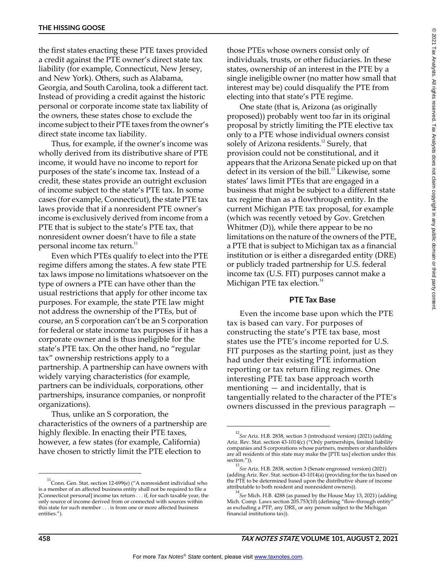the first states enacting these PTE taxes provided a credit against the PTE owner's direct state tax liability (for example, Connecticut, New Jersey, and New York). Others, such as Alabama, Georgia, and South Carolina, took a different tact. Instead of providing a credit against the historic personal or corporate income state tax liability of the owners, these states chose to exclude the income subject to their PTE taxes from the owner's direct state income tax liability.

Thus, for example, if the owner's income was wholly derived from its distributive share of PTE income, it would have no income to report for purposes of the state's income tax. Instead of a credit, these states provide an outright exclusion of income subject to the state's PTE tax. In some cases (for example, Connecticut), the state PTE tax laws provide that if a nonresident PTE owner's income is exclusively derived from income from a PTE that is subject to the state's PTE tax, that nonresident owner doesn't have to file a state personal income tax return.<sup>11</sup>

Even which PTEs qualify to elect into the PTE regime differs among the states. A few state PTE tax laws impose no limitations whatsoever on the type of owners a PTE can have other than the usual restrictions that apply for other income tax purposes. For example, the state PTE law might not address the ownership of the PTEs, but of course, an S corporation can't be an S corporation for federal or state income tax purposes if it has a corporate owner and is thus ineligible for the state's PTE tax. On the other hand, no "regular tax" ownership restrictions apply to a partnership. A partnership can have owners with widely varying characteristics (for example, partners can be individuals, corporations, other partnerships, insurance companies, or nonprofit organizations).

Thus, unlike an S corporation, the characteristics of the owners of a partnership are highly flexible. In enacting their PTE taxes, however, a few states (for example, California) have chosen to strictly limit the PTE election to

those PTEs whose owners consist only of individuals, trusts, or other fiduciaries. In these states, ownership of an interest in the PTE by a single ineligible owner (no matter how small that interest may be) could disqualify the PTE from electing into that state's PTE regime.

One state (that is, Arizona (as originally proposed)) probably went too far in its original proposal by strictly limiting the PTE elective tax only to a PTE whose individual owners consist solely of Arizona residents.<sup>12</sup> Surely, that provision could not be constitutional, and it appears that the Arizona Senate picked up on that defect in its version of the bill.<sup>13</sup> Likewise, some states' laws limit PTEs that are engaged in a business that might be subject to a different state tax regime than as a flowthrough entity. In the current Michigan PTE tax proposal, for example (which was recently vetoed by Gov. Gretchen Whitmer (D)), while there appear to be no limitations on the nature of the owners of the PTE, a PTE that is subject to Michigan tax as a financial institution or is either a disregarded entity (DRE) or publicly traded partnership for U.S. federal income tax (U.S. FIT) purposes cannot make a Michigan PTE tax election.<sup>14</sup>

# **PTE Tax Base**

Even the income base upon which the PTE tax is based can vary. For purposes of constructing the state's PTE tax base, most states use the PTE's income reported for U.S. FIT purposes as the starting point, just as they had under their existing PTE information reporting or tax return filing regimes. One interesting PTE tax base approach worth mentioning — and incidentally, that is tangentially related to the character of the PTE's owners discussed in the previous paragraph —

 $^{11}$ Conn. Gen. Stat. section 12-699(e) ("A nonresident individual who is a member of an affected business entity shall not be required to file a [Connecticut personal] income tax return . . . if, for such taxable year, the only source of income derived from or connected with sources within this state for such member . . . is from one or more affected business entities.").

<sup>12</sup> *See* Ariz. H.B. 2838, section 3 (introduced version) (2021) (adding Ariz. Rev. Stat. section 43-1014(c) ("Only partnerships, limited liability companies and S corporations whose partners, members or shareholders are all residents of this state may make the [PTE tax] election under this section.")).

<sup>13</sup> *See* Ariz. H.B. 2838, section 3 (Senate engrossed version) (2021) (adding Ariz. Rev. Stat. section 43-1014(a) (providing for the tax based on the PTE to be determined based upon the distributive share of income attributable to both resident and nonresident owners)).

<sup>14</sup> *See* Mich. H.B. 4288 (as passed by the House May 13, 2021) (adding Mich. Comp. Laws section 205.753(10) (defining "flow-through entity" as excluding a PTP, any DRE, or any person subject to the Michigan financial institutions tax)).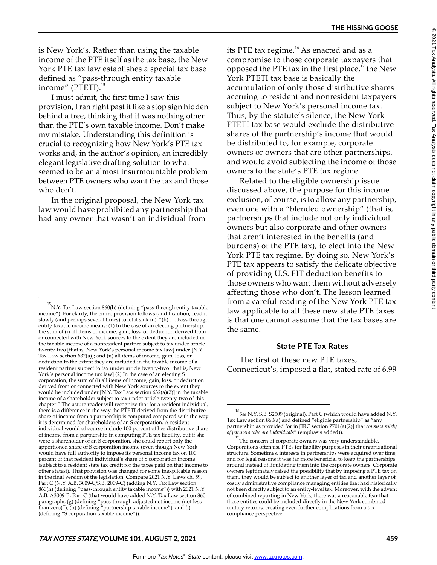is New York's. Rather than using the taxable income of the PTE itself as the tax base, the New York PTE tax law establishes a special tax base defined as "pass-through entity taxable income" (PTETI).<sup>15</sup>

I must admit, the first time I saw this provision, I ran right past it like a stop sign hidden behind a tree, thinking that it was nothing other than the PTE's own taxable income. Don't make my mistake. Understanding this definition is crucial to recognizing how New York's PTE tax works and, in the author's opinion, an incredibly elegant legislative drafting solution to what seemed to be an almost insurmountable problem between PTE owners who want the tax and those who don't.

In the original proposal, the New York tax law would have prohibited any partnership that had any owner that wasn't an individual from

its PTE tax regime.<sup>16</sup> As enacted and as a compromise to those corporate taxpayers that opposed the PTE tax in the first place, $17$  the New York PTETI tax base is basically the accumulation of only those distributive shares accruing to resident and nonresident taxpayers subject to New York's personal income tax. Thus, by the statute's silence, the New York PTETI tax base would exclude the distributive shares of the partnership's income that would be distributed to, for example, corporate owners or owners that are other partnerships, and would avoid subjecting the income of those owners to the state's PTE tax regime.

Related to the eligible ownership issue discussed above, the purpose for this income exclusion, of course, is to allow any partnership, even one with a "blended ownership" (that is, partnerships that include not only individual owners but also corporate and other owners that aren't interested in the benefits (and burdens) of the PTE tax), to elect into the New York PTE tax regime. By doing so, New York's PTE tax appears to satisfy the delicate objective of providing U.S. FIT deduction benefits to those owners who want them without adversely affecting those who don't. The lesson learned from a careful reading of the New York PTE tax law applicable to all these new state PTE taxes is that one cannot assume that the tax bases are the same.

# **State PTE Tax Rates**

The first of these new PTE taxes, Connecticut's, imposed a flat, stated rate of 6.99

<sup>15</sup> N.Y. Tax Law section 860(h) (defining "pass-through entity taxable income"). For clarity, the entire provision follows (and I caution, read it slowly (and perhaps several times) to let it sink in): "(h) . . . Pass-through entity taxable income means: (1) In the case of an electing partnership, the sum of (i) all items of income, gain, loss, or deduction derived from or connected with New York sources to the extent they are included in the taxable income of a nonresident partner subject to tax under article twenty-two [that is, New York's personal income tax law] under [N.Y. Tax Law section 632(a)]; and (ii) all items of income, gain, loss, or deduction to the extent they are included in the taxable income of a resident partner subject to tax under article twenty-two [that is, New York's personal income tax law] (2) In the case of an electing S corporation, the sum of (i) all items of income, gain, loss, or deduction derived from or connected with New York sources to the extent they would be included under [N.Y. Tax Law section 632(a)(2)] in the taxable income of a shareholder subject to tax under article twenty-two of this chapter." The astute reader will recognize that for a resident individual, there is a difference in the way the PTETI derived from the distributive share of income from a partnership is computed compared with the way it is determined for shareholders of an S corporation. A resident individual would of course include 100 percent of her distributive share of income from a partnership in computing PTE tax liability, but if she were a shareholder of an S corporation, she could report only the apportioned share of S corporation income (even though New York would have full authority to impose its personal income tax on 100 percent of that resident individual's share of S corporation income (subject to a resident state tax credit for the taxes paid on that income to other states)). That provision was changed for some inexplicable reason in the final version of the legislation. Compare 2021 N.Y. Laws ch. 59, Part C (N.Y. A.B. 3009-C/S.B. 2009-C) (adding N.Y. Tax Law section 860(h) (defining "pass-through entity taxable income")) with 2021 N.Y. A.B. A3009-B, Part C (that would have added N.Y. Tax Law section 860 paragraphs (g) (defining "pass-through adjusted net income (not less than zero)"), (h) (defining "partnership taxable income"), and (i) (defining "S corporation taxable income")).

<sup>16</sup> *See* N.Y. S.B. S2509 (original), Part C (which would have added N.Y. Tax Law section 860(a) and defined "eligible partnership" as "any partnership as provided for in [IRC section 7701(a)(2)] that *consists solely of partners who are individuals*" (emphasis added)).

<sup>&</sup>lt;sup>17</sup>The concern of corporate owners was very understandable. Corporations often use PTEs for liability purposes in their organizational structure. Sometimes, interests in partnerships were acquired over time, and for legal reasons it was far more beneficial to keep the partnerships around instead of liquidating them into the corporate owners. Corporate owners legitimately raised the possibility that by imposing a PTE tax on them, they would be subject to another layer of tax and another layer of costly administrative compliance managing entities that had historically not been directly subject to an entity-level tax. Moreover, with the advent of combined reporting in New York, there was a reasonable fear that these entities could be included directly in the New York combined unitary returns, creating even further complications from a tax compliance perspective.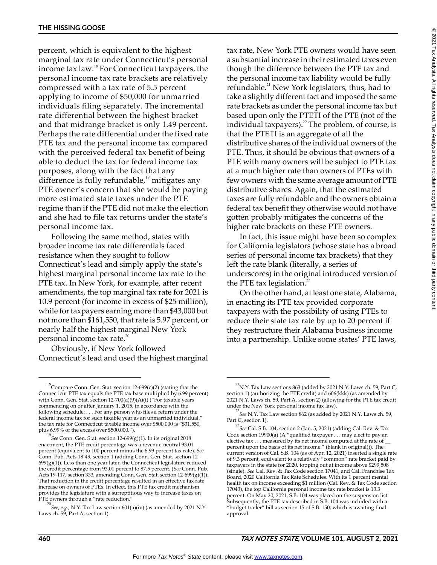percent, which is equivalent to the highest marginal tax rate under Connecticut's personal income tax law.18 For Connecticut taxpayers, the personal income tax rate brackets are relatively compressed with a tax rate of 5.5 percent applying to income of \$50,000 for unmarried individuals filing separately. The incremental rate differential between the highest bracket and that midrange bracket is only 1.49 percent. Perhaps the rate differential under the fixed rate PTE tax and the personal income tax compared with the perceived federal tax benefit of being able to deduct the tax for federal income tax purposes, along with the fact that any difference is fully refundable,<sup>19</sup> mitigates any PTE owner's concern that she would be paying more estimated state taxes under the PTE regime than if the PTE did not make the election and she had to file tax returns under the state's personal income tax.

Following the same method, states with broader income tax rate differentials faced resistance when they sought to follow Connecticut's lead and simply apply the state's highest marginal personal income tax rate to the PTE tax. In New York, for example, after recent amendments, the top marginal tax rate for 2021 is 10.9 percent (for income in excess of \$25 million), while for taxpayers earning more than \$43,000 but not more than \$161,550, that rate is 5.97 percent, or nearly half the highest marginal New York personal income tax rate. $20$ 

Obviously, if New York followed Connecticut's lead and used the highest marginal tax rate, New York PTE owners would have seen a substantial increase in their estimated taxes even though the difference between the PTE tax and the personal income tax liability would be fully refundable.<sup>21</sup> New York legislators, thus, had to take a slightly different tact and imposed the same rate brackets as under the personal income tax but based upon only the PTETI of the PTE (not of the individual taxpayers). $^{22}$  The problem, of course, is that the PTETI is an aggregate of all the distributive shares of the individual owners of the PTE. Thus, it should be obvious that owners of a PTE with many owners will be subject to PTE tax at a much higher rate than owners of PTEs with few owners with the same average amount of PTE distributive shares. Again, that the estimated taxes are fully refundable and the owners obtain a federal tax benefit they otherwise would not have gotten probably mitigates the concerns of the higher rate brackets on these PTE owners.

In fact, this issue might have been so complex for California legislators (whose state has a broad series of personal income tax brackets) that they left the rate blank (literally, a series of underscores) in the original introduced version of the PTE tax legislation.<sup>23</sup>

On the other hand, at least one state, Alabama, in enacting its PTE tax provided corporate taxpayers with the possibility of using PTEs to reduce their state tax rate by up to 20 percent if they restructure their Alabama business income into a partnership. Unlike some states' PTE laws,

<sup>&</sup>lt;sup>18</sup>Compare Conn. Gen. Stat. section 12-699(c)(2) (stating that the Connecticut PTE tax equals the PTE tax base multiplied by 6.99 percent) with Conn. Gen. Stat. section 12-700(a)(9)(A)(i) ("For taxable years commencing on or after January 1, 2015, in accordance with the following schedule: . . . For any person who files a return under the federal income tax for such taxable year as an unmarried individual," the tax rate for Connecticut taxable income over \$500,000 is "\$31,550, plus 6.99% of the excess over \$500,000.").

<sup>19</sup> *See* Conn. Gen. Stat. section 12-699(g)(1). In its original 2018 enactment, the PTE credit percentage was a revenue-neutral 93.01 percent (equivalent to 100 percent minus the 6.99 percent tax rate). *See* Conn. Pub. Acts 18-49, section 1 (adding Conn. Gen. Stat. section 12-  $699(g)(1)$ ). Less than one year later, the Connecticut legislature reduced the credit percentage from 93.01 percent to 87.5 percent. (*See* Conn. Pub. Acts 19-117, section 333, amending Conn. Gen. Stat. section 12-699(g)(1)). That reduction in the credit percentage resulted in an effective tax rate increase on owners of PTEs. In effect, this PTE tax credit mechanism provides the legislature with a surreptitious way to increase taxes on PTE owners through a "rate reduction."

<sup>20</sup> *See*, *e.g.*, N.Y. Tax Law section 601(a)(iv) (as amended by 2021 N.Y. Laws ch. 59, Part A, section 1).

 $^{21}$ N.Y. Tax Law sections 863 (added by 2021 N.Y. Laws ch. 59, Part C, section 1) (authorizing the PTE credit) and 606(kkk) (as amended by 2021 N.Y. Laws ch. 59, Part A, section 2) (allowing for the PTE tax credit under the New York personal income tax law).

<sup>22</sup> *See* N.Y. Tax Law section 862 (as added by 2021 N.Y. Laws ch. 59, Part C, section 1).

<sup>23</sup>*See* Cal. S.B. 104, section 2 (Jan. 5, 2021) (adding Cal. Rev. & Tax Code section 19900(a) (A "qualified taxpayer . . . may elect to pay an elective tax . . . measured by its net income computed at the rate of \_ percent upon the basis of its net income." (blank in original))). The current version of Cal. S.B. 104 (as of Apr. 12, 2021) inserted a single rate of 9.3 percent, equivalent to a relatively "common" rate bracket paid by taxpayers in the state for 2020, topping out at income above \$299,508 (single). *See* Cal. Rev. & Tax Code section 17041, and Cal. Franchise Tax Board, 2020 California Tax Rate Schedules. With its 1 percent mental health tax on income exceeding \$1 million (Cal. Rev. & Tax Code section 17043), the top California personal income tax rate bracket is 13.3 percent. On May 20, 2021, S.B. 104 was placed on the suspension list. Subsequently, the PTE tax described in S.B. 104 was included with a "budget trailer" bill as section 15 of S.B. 150, which is awaiting final approval.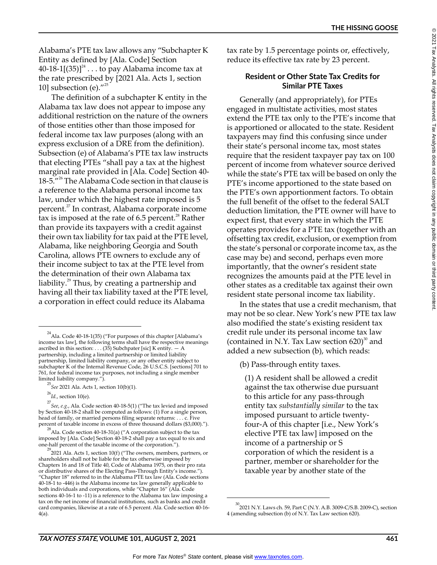Alabama's PTE tax law allows any "Subchapter K Entity as defined by [Ala. Code] Section  $40-18-1[(35)]^{24} \dots$  to pay Alabama income tax at the rate prescribed by [2021 Ala. Acts 1, section 10] subsection (e). $^{\prime\prime^{25}}$ 

The definition of a subchapter K entity in the Alabama tax law does not appear to impose any additional restriction on the nature of the owners of those entities other than those imposed for federal income tax law purposes (along with an express exclusion of a DRE from the definition). Subsection (e) of Alabama's PTE tax law instructs that electing PTEs "shall pay a tax at the highest marginal rate provided in [Ala. Code] Section 40- 18-5."<sup>26</sup> The Alabama Code section in that clause is a reference to the Alabama personal income tax law, under which the highest rate imposed is 5 percent.27 In contrast, Alabama corporate income tax is imposed at the rate of  $6.5$  percent.<sup>28</sup> Rather than provide its taxpayers with a credit against their own tax liability for tax paid at the PTE level, Alabama, like neighboring Georgia and South Carolina, allows PTE owners to exclude any of their income subject to tax at the PTE level from the determination of their own Alabama tax liability.<sup>29</sup> Thus, by creating a partnership and having all their tax liability taxed at the PTE level, a corporation in effect could reduce its Alabama

tax rate by 1.5 percentage points or, effectively, reduce its effective tax rate by 23 percent.

# **Resident or Other State Tax Credits for Similar PTE Taxes**

Generally (and appropriately), for PTEs engaged in multistate activities, most states extend the PTE tax only to the PTE's income that is apportioned or allocated to the state. Resident taxpayers may find this confusing since under their state's personal income tax, most states require that the resident taxpayer pay tax on 100 percent of income from whatever source derived while the state's PTE tax will be based on only the PTE's income apportioned to the state based on the PTE's own apportionment factors. To obtain the full benefit of the offset to the federal SALT deduction limitation, the PTE owner will have to expect first, that every state in which the PTE operates provides for a PTE tax (together with an offsetting tax credit, exclusion, or exemption from the state's personal or corporate income tax, as the case may be) and second, perhaps even more importantly, that the owner's resident state recognizes the amounts paid at the PTE level in other states as a creditable tax against their own resident state personal income tax liability.

In the states that use a credit mechanism, that may not be so clear. New York's new PTE tax law also modified the state's existing resident tax credit rule under its personal income tax law (contained in N.Y. Tax Law section  $620)^{30}$  and added a new subsection (b), which reads:

(b) Pass-through entity taxes.

(1) A resident shall be allowed a credit against the tax otherwise due pursuant to this article for any pass-through entity tax *substantially similar* to the tax imposed pursuant to article twentyfour-A of this chapter [i.e., New York's elective PTE tax law] imposed on the income of a partnership or S corporation of which the resident is a partner, member or shareholder for the taxable year by another state of the

<sup>&</sup>lt;sup>24</sup> Ala. Code 40-18-1(35) ("For purposes of this chapter [Alabama's income tax law], the following terms shall have the respective meanings ascribed in this section: . . . (35) Subchpater [sic] K entity. — A partnership, including a limited partnership or limited liability partnership, limited liability company, or any other entity subject to subchapter K of the Internal Revenue Code, 26 U.S.C.S. [sections] 701 to 761, for federal income tax purposes, not including a single member limited liability company.").

<sup>25</sup> *See* 2021 Ala. Acts 1, section 10(b)(1).

<sup>26</sup> *Id.*, section 10(e).

<sup>27</sup> *See*, *e.g.*, Ala. Code section 40-18-5(1) ("The tax levied and imposed by Section 40-18-2 shall be computed as follows: (1) For a single person, head of family, or married persons filing separate returns: . . . c. Five percent of taxable income in excess of three thousand dollars (\$3,000).").

 $^{28}$ Ala. Code section 40-18-31(a) ("A corporation subject to the tax imposed by [Ala. Code] Section 40-18-2 shall pay a tax equal to six and one-half percent of the taxable income of the corporation.").

 $^{29}$ 2021 Ala. Acts 1, section 10(f) ("The owners, members, partners, or shareholders shall not be liable for the tax otherwise imposed by Chapters 16 and 18 of Title 40, Code of Alabama 1975, on their pro rata or distributive shares of the Electing Pass-Through Entity's income."). "Chapter 18" referred to in the Alabama PTE tax law (Ala. Code sections 40-18-1 to -446) is the Alabama income tax law generally applicable to both individuals and corporations, while "Chapter 16" (Ala. Code sections 40-16-1 to -11) is a reference to the Alabama tax law imposing a tax on the net income of financial institutions, such as banks and credit card companies, likewise at a rate of 6.5 percent. Ala. Code section 40-16- 4(a).

<sup>&</sup>lt;sup>30</sup>2021 N.Y. Laws ch. 59, Part C (N.Y. A.B. 3009-C/S.B. 2009-C), section 4 (amending subsection (b) of N.Y. Tax Law section 620).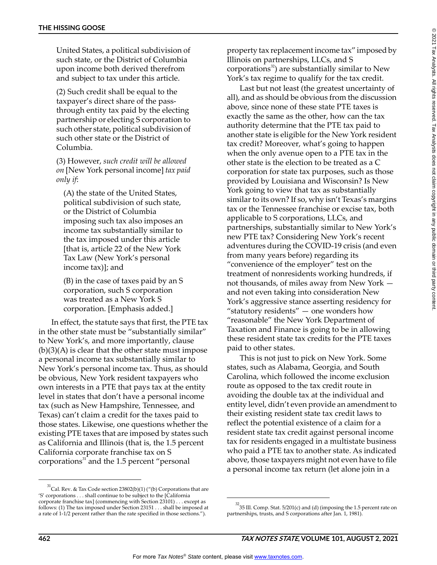United States, a political subdivision of such state, or the District of Columbia upon income both derived therefrom and subject to tax under this article.

(2) Such credit shall be equal to the taxpayer's direct share of the passthrough entity tax paid by the electing partnership or electing S corporation to such other state, political subdivision of such other state or the District of Columbia.

(3) However, *such credit will be allowed on* [New York personal income] *tax paid only if*:

(A) the state of the United States, political subdivision of such state, or the District of Columbia imposing such tax also imposes an income tax substantially similar to the tax imposed under this article [that is, article 22 of the New York Tax Law (New York's personal income tax)]; and

(B) in the case of taxes paid by an S corporation, such S corporation was treated as a New York S corporation. [Emphasis added.]

In effect, the statute says that first, the PTE tax in the other state must be "substantially similar" to New York's, and more importantly, clause  $(b)(3)(A)$  is clear that the other state must impose a personal income tax substantially similar to New York's personal income tax. Thus, as should be obvious, New York resident taxpayers who own interests in a PTE that pays tax at the entity level in states that don't have a personal income tax (such as New Hampshire, Tennessee, and Texas) can't claim a credit for the taxes paid to those states. Likewise, one questions whether the existing PTE taxes that are imposed by states such as California and Illinois (that is, the 1.5 percent California corporate franchise tax on S corporations $31$  and the 1.5 percent "personal

 $31$ Cal. Rev. & Tax Code section 23802(b)(1) ("(b) Corporations that are 'S' corporations . . . shall continue to be subject to the [California corporate franchise tax] (commencing with Section 23101) . . . except as follows: (1) The tax imposed under Section 23151 . . . shall be imposed at a rate of 1-1/2 percent rather than the rate specified in those sections.").

property tax replacement income tax" imposed by Illinois on partnerships, LLCs, and S corporations<sup>32</sup>) are substantially similar to New York's tax regime to qualify for the tax credit.

Last but not least (the greatest uncertainty of all), and as should be obvious from the discussion above, since none of these state PTE taxes is exactly the same as the other, how can the tax authority determine that the PTE tax paid to another state is eligible for the New York resident tax credit? Moreover, what's going to happen when the only avenue open to a PTE tax in the other state is the election to be treated as a C corporation for state tax purposes, such as those provided by Louisiana and Wisconsin? Is New York going to view that tax as substantially similar to its own? If so, why isn't Texas's margins tax or the Tennessee franchise or excise tax, both applicable to S corporations, LLCs, and partnerships, substantially similar to New York's new PTE tax? Considering New York's recent adventures during the COVID-19 crisis (and even from many years before) regarding its "convenience of the employer" test on the treatment of nonresidents working hundreds, if not thousands, of miles away from New York and not even taking into consideration New York's aggressive stance asserting residency for "statutory residents"  $-$  one wonders how "reasonable" the New York Department of Taxation and Finance is going to be in allowing these resident state tax credits for the PTE taxes paid to other states.

This is not just to pick on New York. Some states, such as Alabama, Georgia, and South Carolina, which followed the income exclusion route as opposed to the tax credit route in avoiding the double tax at the individual and entity level, didn't even provide an amendment to their existing resident state tax credit laws to reflect the potential existence of a claim for a resident state tax credit against personal income tax for residents engaged in a multistate business who paid a PTE tax to another state. As indicated above, those taxpayers might not even have to file a personal income tax return (let alone join in a

 $^{32}$ 35 Ill. Comp. Stat. 5/201(c) and (d) (imposing the 1.5 percent rate on partnerships, trusts, and S corporations after Jan. 1, 1981).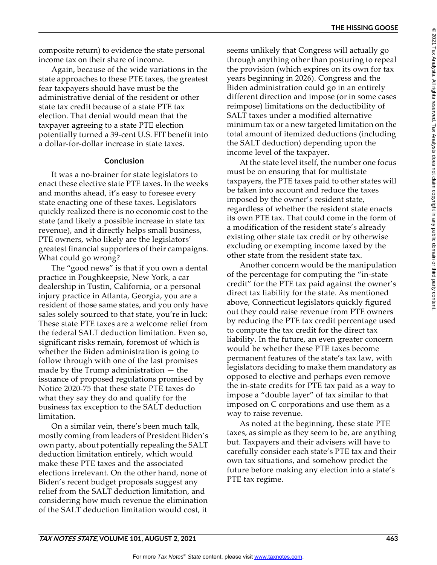© 2021 Tax Analysts. All rights reserved. Tax Analysts does not claim copyright in any public domain or third party content.2021 Tax Analysts. All rights reserved. Tax Analysts does not daim copyright in any public domain or third party content

 $^{\circ}$ 

**THE HISSING GOOSE**

composite return) to evidence the state personal income tax on their share of income.

Again, because of the wide variations in the state approaches to these PTE taxes, the greatest fear taxpayers should have must be the administrative denial of the resident or other state tax credit because of a state PTE tax election. That denial would mean that the taxpayer agreeing to a state PTE election potentially turned a 39-cent U.S. FIT benefit into a dollar-for-dollar increase in state taxes.

# **Conclusion**

It was a no-brainer for state legislators to enact these elective state PTE taxes. In the weeks and months ahead, it's easy to foresee every state enacting one of these taxes. Legislators quickly realized there is no economic cost to the state (and likely a possible increase in state tax revenue), and it directly helps small business, PTE owners, who likely are the legislators' greatest financial supporters of their campaigns. What could go wrong?

The "good news" is that if you own a dental practice in Poughkeepsie, New York, a car dealership in Tustin, California, or a personal injury practice in Atlanta, Georgia, you are a resident of those same states, and you only have sales solely sourced to that state, you're in luck: These state PTE taxes are a welcome relief from the federal SALT deduction limitation. Even so, significant risks remain, foremost of which is whether the Biden administration is going to follow through with one of the last promises made by the Trump administration — the issuance of proposed regulations promised by Notice 2020-75 that these state PTE taxes do what they say they do and qualify for the business tax exception to the SALT deduction limitation.

On a similar vein, there's been much talk, mostly coming from leaders of President Biden's own party, about potentially repealing the SALT deduction limitation entirely, which would make these PTE taxes and the associated elections irrelevant. On the other hand, none of Biden's recent budget proposals suggest any relief from the SALT deduction limitation, and considering how much revenue the elimination of the SALT deduction limitation would cost, it

seems unlikely that Congress will actually go through anything other than posturing to repeal the provision (which expires on its own for tax years beginning in 2026). Congress and the Biden administration could go in an entirely different direction and impose (or in some cases reimpose) limitations on the deductibility of SALT taxes under a modified alternative minimum tax or a new targeted limitation on the total amount of itemized deductions (including the SALT deduction) depending upon the income level of the taxpayer.

At the state level itself, the number one focus must be on ensuring that for multistate taxpayers, the PTE taxes paid to other states will be taken into account and reduce the taxes imposed by the owner's resident state, regardless of whether the resident state enacts its own PTE tax. That could come in the form of a modification of the resident state's already existing other state tax credit or by otherwise excluding or exempting income taxed by the other state from the resident state tax.

Another concern would be the manipulation of the percentage for computing the "in-state credit" for the PTE tax paid against the owner's direct tax liability for the state. As mentioned above, Connecticut legislators quickly figured out they could raise revenue from PTE owners by reducing the PTE tax credit percentage used to compute the tax credit for the direct tax liability. In the future, an even greater concern would be whether these PTE taxes become permanent features of the state's tax law, with legislators deciding to make them mandatory as opposed to elective and perhaps even remove the in-state credits for PTE tax paid as a way to impose a "double layer" of tax similar to that imposed on C corporations and use them as a way to raise revenue.

As noted at the beginning, these state PTE taxes, as simple as they seem to be, are anything but. Taxpayers and their advisers will have to carefully consider each state's PTE tax and their own tax situations, and somehow predict the future before making any election into a state's PTE tax regime.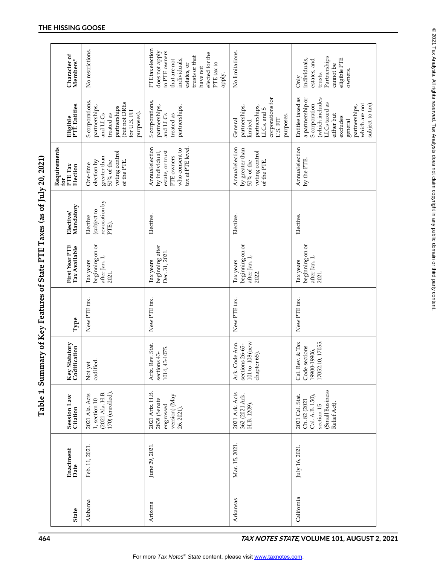| No restrictions.                                                                                                          | PTE tax election<br>does not apply<br>to PTE owners<br>elected for the<br>trusts or that<br>individuals,<br>that are not<br>PTE tax to<br>estates, or<br>have not<br>apply. | No limitations.                                                                                                  | Partnerships<br>eligible PTE<br>individuals,<br>estates, and<br>cannot be<br>owners<br>trusts.<br><b>Only</b>                                                                         |
|---------------------------------------------------------------------------------------------------------------------------|-----------------------------------------------------------------------------------------------------------------------------------------------------------------------------|------------------------------------------------------------------------------------------------------------------|---------------------------------------------------------------------------------------------------------------------------------------------------------------------------------------|
| S corporations,<br>(but not DREs<br>partnerships,<br>partnerships<br>for U.S. FIT<br>purposes).<br>and LLCs<br>treated as | S corporations,<br>partnerships,<br>partnerships.<br>and LLCs<br>treated as                                                                                                 | corporations for<br>partnerships,<br>partnerships,<br>LLCs, and S<br>purposes.<br>General<br>U.S. FIT<br>limited | Entities taxed as<br>a partnership or<br>(which includes<br>LLCs taxed as<br>subject to tax).<br>which are not<br>S corporation<br>partnerships,<br>either but<br>excludes<br>general |
| voting control<br>greater than<br>$50\%$ of the<br>of the PTE.<br>election by<br>One-time                                 | tax at PTE level.<br>Annualelection<br>who consent to<br>estate, or trust<br>by individual,<br>PTE owners                                                                   | Annualelection<br>by greater than<br>voting control<br>of the PTE.<br>50% of the                                 | Annualelection<br>by the PTE.                                                                                                                                                         |
| revocation by<br>(subject to<br>Elective<br>PTE).                                                                         | Elective.                                                                                                                                                                   | Elective.                                                                                                        | Elective.                                                                                                                                                                             |
| beginning on or<br>after Jan. 1,<br>Tax years<br>2021.                                                                    | beginning after<br>Dec. 31, 2021.<br>Tax years                                                                                                                              | beginning on or<br>after Jan. 1,<br>Tax years<br>2022.                                                           | beginning on or<br>after Jan. 1,<br>Tax years<br>2021.                                                                                                                                |
| New PTE tax.                                                                                                              | New PTE tax.                                                                                                                                                                | New PTE tax.                                                                                                     | New PTE tax.                                                                                                                                                                          |
| codified.<br>Not yet                                                                                                      | Ariz. Rev. Stat.<br>1014, 43-1075.<br>sections 43-                                                                                                                          | 101 to-108 (new<br>Ark. Code Ann.<br>sections 26-65-<br>chapter 65).                                             | 10, 17055.<br>Cal. Rev. & Tax<br>Code sections<br>19900-19906,<br>17052.1                                                                                                             |
| 170) (enrolled).<br>(2021 Ala. H.B.<br>2021 Ala. Acts<br>1, section 10                                                    | 2021 Ariz. H.B.<br>version) (May<br>2838 (Senate<br>engrossed<br>26, 2021).                                                                                                 | 2021 Ark. Acts<br>362 (2021 Ark.<br>H.B. 1209).                                                                  | (Small Business<br>2021 Cal. Stat.<br>Cal. A.B. 150),<br>Ch. 82 (2021<br>Relief Act).<br>section 15                                                                                   |
| Feb. 11, 2021                                                                                                             | June 29, 2021                                                                                                                                                               | Mar. 15, 2021                                                                                                    | July 16, 2021                                                                                                                                                                         |
| Alabama                                                                                                                   | Arizona                                                                                                                                                                     | Arkansas                                                                                                         | California                                                                                                                                                                            |
|                                                                                                                           |                                                                                                                                                                             |                                                                                                                  |                                                                                                                                                                                       |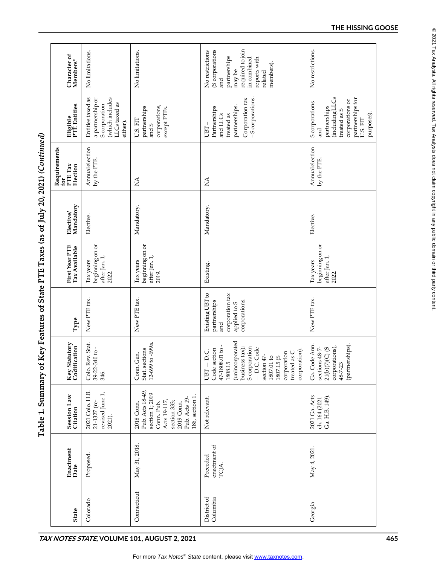Table 1. Summary of Key Features of State PTE Taxes (as of July 20, 2021) (Continued)

| Character of<br>Members*                   | No limitations.                                                                                        | No limitations.                                                                                                                                  | required to join<br>(S corporations<br>No restrictions<br>partnerships<br>in combined<br>reports with<br>members).<br>may be<br>related<br>and                                                                                             | No restrictions.                                                                                                                                |
|--------------------------------------------|--------------------------------------------------------------------------------------------------------|--------------------------------------------------------------------------------------------------------------------------------------------------|--------------------------------------------------------------------------------------------------------------------------------------------------------------------------------------------------------------------------------------------|-------------------------------------------------------------------------------------------------------------------------------------------------|
| Eligible<br>PTE Entities                   | Entities taxed as<br>(which includes<br>a partnership or<br>LLCs taxed as<br>S corporation<br>either). | corporations,<br>partnerships<br>except PTPs.<br>U.S. FIT<br>and S                                                                               | -S corporations.<br>Corporation tax<br>partnerships.<br>Partnerships<br>and LLCs<br>treated as<br>$UBT-$                                                                                                                                   | (including LLCs<br>partnerships for<br>corporations or<br>S corporations<br>partnerships<br>treated as S<br>purposes).<br>U.S. FIT<br>nd<br>and |
| Requirements<br>PTE Tax<br>Election<br>tor | Annualelection<br>by the PTE.                                                                          | $\stackrel{\triangle}{\simeq}$                                                                                                                   | $\mathbb{A}$                                                                                                                                                                                                                               | Annualelection<br>by the PTE.                                                                                                                   |
| Elective/<br>Mandatory                     | Elective.                                                                                              | Mandatory.                                                                                                                                       | Mandatory.                                                                                                                                                                                                                                 | Elective.                                                                                                                                       |
| First Year PTE<br>Tax Available            | beginning on or<br>after Jan. 1,<br>Tax years<br>2022.                                                 | beginning on or<br>after Jan. 1,<br>Tax years<br>2019.                                                                                           | Existing.                                                                                                                                                                                                                                  | beginning on or<br>after Jan. 1,<br>Tax years<br>2022.                                                                                          |
| Type                                       | New PTE tax.                                                                                           | New PTE tax.                                                                                                                                     | Existing UBT to<br>corporation tax<br>partnerships<br>corporations.<br>applied to S<br>and                                                                                                                                                 | New PTE tax.                                                                                                                                    |
| tatutory<br>Key Statutory<br>Codification  | Colo. Rev. Stat.<br>39-22-340 to -<br>346.                                                             | $to -699a$ .<br>Stat. sections<br>Conn. Gen.<br>$12 - 699$                                                                                       | (unincorporated<br>47-1808.01 to -<br>S corporation<br>business tax);<br>- D.C. Code<br>Code section<br>corporation).<br>.<br>D.C.<br>1807.01 to<br>1807.15 (S<br>corporation<br>$_{\rm as}$ C<br>section 47-<br>1808.15<br>treated<br>UBT | Ga. Code Ann.<br>(partnerships).<br>$21(b)(7)(C)$ (S<br>corporations),<br>sections 48-7-<br>$48 - 7 - 23$                                       |
| Session Law<br>Citation                    | 2021 Colo. H.B.<br>revised June 1,<br>21-1327 (re-<br>2021).                                           | Pub. Acts 18-49,<br>section 1; 2019<br>186, section 1<br>Pub. Acts 19-<br>Acts 19-117,<br>section 333;<br>2019 Conn.<br>2018 Conn.<br>Conn. Pub. | Not relevant.                                                                                                                                                                                                                              | 2021 Ga. Acts<br>Ga. H.B. 149).<br>ch. 164 (2021                                                                                                |
| Enactment<br>Date                          | Proposed                                                                                               | May 31, 2018.                                                                                                                                    | enactment of<br>Preceded<br>TCJA.                                                                                                                                                                                                          | May 4, 2021                                                                                                                                     |
| <b>State</b>                               | Colorado                                                                                               | Connecticut                                                                                                                                      | District of<br>Columbia                                                                                                                                                                                                                    | Georgia                                                                                                                                         |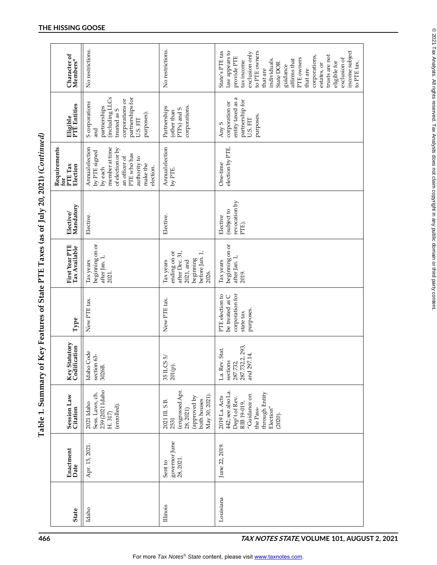| U/ \rece_ce_                                                                                                                                                                                                                                                                                                                |
|-----------------------------------------------------------------------------------------------------------------------------------------------------------------------------------------------------------------------------------------------------------------------------------------------------------------------------|
|                                                                                                                                                                                                                                                                                                                             |
|                                                                                                                                                                                                                                                                                                                             |
| י במן בט ט                                                                                                                                                                                                                                                                                                                  |
|                                                                                                                                                                                                                                                                                                                             |
| $\frac{1}{2}$ $\frac{1}{2}$ $\frac{1}{2}$ $\frac{1}{2}$ $\frac{1}{2}$ $\frac{1}{2}$ $\frac{1}{2}$ $\frac{1}{2}$ $\frac{1}{2}$ $\frac{1}{2}$ $\frac{1}{2}$ $\frac{1}{2}$ $\frac{1}{2}$ $\frac{1}{2}$ $\frac{1}{2}$ $\frac{1}{2}$ $\frac{1}{2}$ $\frac{1}{2}$ $\frac{1}{2}$ $\frac{1}{2}$ $\frac{1}{2}$ $\frac{1}{2}$<br>こりくさ |
|                                                                                                                                                                                                                                                                                                                             |
| <br> <br> <br>                                                                                                                                                                                                                                                                                                              |
|                                                                                                                                                                                                                                                                                                                             |
|                                                                                                                                                                                                                                                                                                                             |
| j<br><<br><<br>$\frac{1}{1}$<br>ຸ                                                                                                                                                                                                                                                                                           |
|                                                                                                                                                                                                                                                                                                                             |
|                                                                                                                                                                                                                                                                                                                             |
| l                                                                                                                                                                                                                                                                                                                           |
|                                                                                                                                                                                                                                                                                                                             |
| $\sim$ $\sim$ $\sim$ $\sim$ $\sim$ $\sim$ $\sim$                                                                                                                                                                                                                                                                            |
|                                                                                                                                                                                                                                                                                                                             |
|                                                                                                                                                                                                                                                                                                                             |
|                                                                                                                                                                                                                                                                                                                             |
| נ<br>ו<br>ו                                                                                                                                                                                                                                                                                                                 |
|                                                                                                                                                                                                                                                                                                                             |
| I                                                                                                                                                                                                                                                                                                                           |
|                                                                                                                                                                                                                                                                                                                             |

| 466                                         |                 |                                       | Table 1. Summary of                                                                                                                       |                                                                             |                                                                                 | Key Features of State PTE Taxes (as of July 20, 2021) (Continued)                                |                                                   |                                                                                                                                                            |                                                                                                                                           |                                                                                                                                                                                                                                                                                                                     |  |
|---------------------------------------------|-----------------|---------------------------------------|-------------------------------------------------------------------------------------------------------------------------------------------|-----------------------------------------------------------------------------|---------------------------------------------------------------------------------|--------------------------------------------------------------------------------------------------|---------------------------------------------------|------------------------------------------------------------------------------------------------------------------------------------------------------------|-------------------------------------------------------------------------------------------------------------------------------------------|---------------------------------------------------------------------------------------------------------------------------------------------------------------------------------------------------------------------------------------------------------------------------------------------------------------------|--|
|                                             | <b>State</b>    | Enactment<br>Date                     | Session Law<br>Citation                                                                                                                   | Key Statutory<br>Codification                                               | Type                                                                            | First Year PTE<br>Tax Available                                                                  | Mandatory<br>Elective/                            | Requirements<br>for<br>PTE Tax<br>Election                                                                                                                 | Eligible<br>PTE Entities                                                                                                                  | Character of<br>Members*                                                                                                                                                                                                                                                                                            |  |
|                                             | Idaho           | Apr. 15, 2021.                        | 239 (2021 Idaho<br>Sess. Laws, ch.<br>2021 Idaho<br>(enrolled).<br>H.317                                                                  | Idaho Code<br>63-<br>section<br>3026B.                                      | New PTE tax.                                                                    | beginning on or<br>after Jan. 1,<br>Tax years<br>2021.                                           | Elective.                                         | Annualelection<br>member at time<br>of election or by<br>by PTE signed<br>PTE who has<br>an officer of<br>authority to<br>make the<br>election.<br>by each | (including LLCs<br>partnerships for<br>corporations or<br>S corporations<br>partnerships<br>treated as S<br>purposes).<br>U.S. FIT<br>and | No restrictions.                                                                                                                                                                                                                                                                                                    |  |
|                                             | <b>Illinois</b> | governor June<br>28, 2021.<br>Sent to | (engrossed Apr.<br>May 30, 2021).<br>(approved by<br>both houses<br>2021 III. S.B.<br>28, 2021)<br>2531                                   | $\tilde{5}$<br>35 ILCS<br>201(p).                                           | New PTE tax.                                                                    | ending on or<br>after Dec. 31,<br>before Jan. 1,<br>beginning<br>2021, and<br>Tax years<br>2026. | Elective.                                         | Annualelection<br>by PTE.                                                                                                                                  | corporations.<br>Partnerships<br>PTPs) and S<br>(other than                                                                               | No restrictions.                                                                                                                                                                                                                                                                                                    |  |
| TAX NOTES STATE, VOLUME 101, AUGUST 2, 2021 | Louisiana       | June 22, 2019.                        | 442; see also La.<br>through Entity<br>"Guidance on<br>2019 La. Acts<br>Dep't of Rev.<br>RIB 19-019,<br>Election"<br>the Pass-<br>(2020). | 287.732.2, 293,<br>Stat.<br>and 297.14.<br>La. Rev.<br>sections<br>287.732, | corporation for<br>PTE election to<br>be treated as C<br>purposes.<br>state tax | beginning on or<br>after Jan. 1,<br>Tax years<br>2019.                                           | revocation by<br>(subject to<br>Elective<br>PTE). | election by PTE.<br>One-time                                                                                                                               | entity taxed as a<br>partnership for<br>corporation or<br>purposes.<br>U.S. FIT<br>Any <sub>S</sub>                                       | income subject<br>State's PTE tax<br>law appears to<br>to PTE owners<br>exclusion only<br>trusts are not<br>corporations,<br>provide PTE<br>exclusion of<br>PTE owners<br>individuals.<br>affirms that<br>tax income<br>eligible for<br>to PTE tax.<br>State DOR<br>estates, or<br>guidance<br>that are<br>that are |  |
|                                             |                 |                                       |                                                                                                                                           |                                                                             |                                                                                 |                                                                                                  |                                                   |                                                                                                                                                            |                                                                                                                                           |                                                                                                                                                                                                                                                                                                                     |  |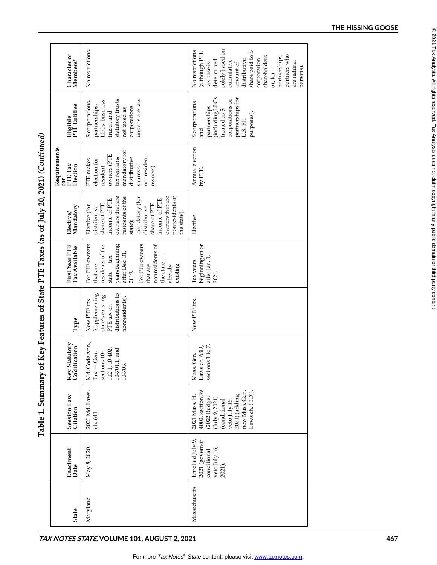|                                                                     | Character of<br>Members*                   | No restrictions.                                                                                                                                                                                                                         | solely based on<br>S<br>No restrictions<br>(although PTE<br>share paid to<br>partners who<br>partnerships,<br>shareholders<br>distributive<br>corporation<br>determined<br>cumulative<br>are natural<br>amount of<br>tax base is<br>persons).<br>or, for |     |
|---------------------------------------------------------------------|--------------------------------------------|------------------------------------------------------------------------------------------------------------------------------------------------------------------------------------------------------------------------------------------|----------------------------------------------------------------------------------------------------------------------------------------------------------------------------------------------------------------------------------------------------------|-----|
|                                                                     | Eligible<br>PTE Entities                   | under state law.<br>statutory trusts<br>LLCs, business<br>S corporations,<br>partnerships,<br>corporations<br>not taxed as<br>trusts, and                                                                                                | (including LLCs<br>partnerships for<br>corporations or<br>S corporations<br>partnerships<br>treated as S<br>purposes).<br>U.S. FIT<br>and                                                                                                                |     |
|                                                                     | Requirements<br>PTE Tax<br>Election<br>for | mandatory for<br>owners (PTE<br>nonresident<br>tax remains<br>distributive<br>election for<br>PTE makes<br>shares of<br>resident<br>owners).                                                                                             | Annualelection<br>by PTE.                                                                                                                                                                                                                                |     |
| ( Key Features of State PTE Taxes (as of July 20, 2021) (Continued) | Elective/<br>Mandatory                     | nonresidents of<br>owners that are<br>owners that are<br>residents of the<br>mandatory (for<br>income of PTE<br>income of PTE<br>share of PTE<br>share of PTE<br>Elective (for<br>distributive<br>distributive<br>the state).<br>state); | Elective.                                                                                                                                                                                                                                                |     |
|                                                                     | First Year PTE<br>Tax Available            | years beginning<br>For PTE owners<br>For PTE owners<br>nonresidents of<br>residents of the<br>after Dec. 31,<br>state $-\tan x$<br>the state<br>existing.<br>already<br>that are<br>that are<br>2019.                                    | beginning on or<br>after Jan. 1,<br>Tax years<br>2021.                                                                                                                                                                                                   |     |
|                                                                     | ${\bf Type}$                               | distributions to<br>(supplementing<br>state's existing<br>nonresidents).<br>New PTE tax<br>PTE tax on                                                                                                                                    | New PTE tax.                                                                                                                                                                                                                                             |     |
|                                                                     | Key Statutory<br>Codification              | Md. Code Ann.,<br>10-402,<br>$10-701.1$ , and<br>sections 10-<br>Gen.<br>10-703.<br>102.1,<br>$Tax -$                                                                                                                                    | sections 1 to 7.<br>Laws ch. 63D,<br>Gen.<br>Mass.                                                                                                                                                                                                       |     |
| Table 1. Summary of                                                 | <b>Session Law</b><br>Citation             | 2020 Md. Laws,<br>ch. 641                                                                                                                                                                                                                | 4002, section 39<br>new Mass. Gen.<br>Laws ch. 63D)).<br>$2021)$ (adding<br>2021 Mass. H<br>(2022 Budget<br>$(\text{July } 9, 2021)$<br>veto July 16,<br>conditional                                                                                     |     |
|                                                                     | Enactment<br>Date                          | May 8, 2020.                                                                                                                                                                                                                             | Enrolled July 9,<br>2021 (governor<br>veto July 16,<br>conditional<br>2021).                                                                                                                                                                             |     |
|                                                                     | <b>State</b>                               | Maryland                                                                                                                                                                                                                                 | Massachusetts                                                                                                                                                                                                                                            |     |
|                                                                     |                                            | TAX NOTES STATE, VOLUME 101, AUGUST 2, 2021                                                                                                                                                                                              |                                                                                                                                                                                                                                                          | 467 |

Table 1. Summary of Key Features of State PTE Taxes (as of Iuly 20, 2021) (Continued)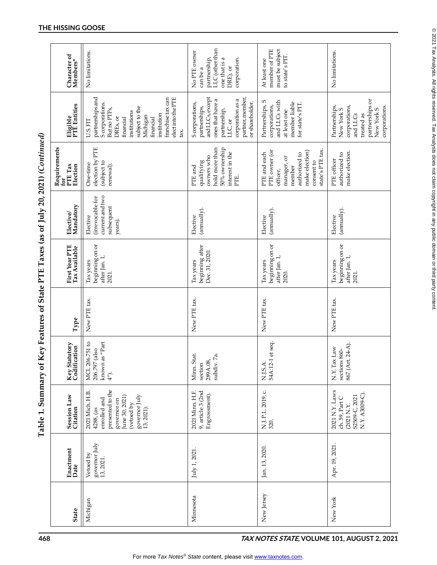|                                                                                        | Character of<br>Members*        | No limitations.                                                                                                                                                                                                                  | LLC (other than<br>No PTE owner<br>one that is a<br>corporation.<br>partnership,<br>DRE), or<br>can be a                                                       | member of PTE<br>must be subject<br>to state's PIT.<br>At least one                                                                     | No limitations.                                                                                                          |
|----------------------------------------------------------------------------------------|---------------------------------|----------------------------------------------------------------------------------------------------------------------------------------------------------------------------------------------------------------------------------|----------------------------------------------------------------------------------------------------------------------------------------------------------------|-----------------------------------------------------------------------------------------------------------------------------------------|--------------------------------------------------------------------------------------------------------------------------|
|                                                                                        | Eligible<br>PTE Entities        | elect into the PTE<br>partnerships and<br>franchise tax can<br>S corporations.<br>subject to the<br>But no PTP <sub>S</sub><br>institutions<br>institution<br>Michigan<br>DREs, or<br>financial<br>financial<br>U.S. FIT<br>tax. | and LLCs, except<br>partner, member,<br>ones that have a<br>corporation as a<br>or shareholder.<br>S corporations,<br>partnerships,<br>partnership,<br>LLC, or | and LLCs with<br>Partnerships, S<br>member liable<br>for state's PIT.<br>corporations,<br>at least one                                  | partnerships or<br>Partnerships,<br>corporations,<br>corporations.<br>New York S<br>New York S<br>and LLCs<br>treated as |
| Key Features of State PTE Taxes (as of July 20, 2021) (Continued)<br>Requirements<br>È | PTE Tax<br>Election             | election by PTE<br>(subject to<br>One-time<br>renewal).                                                                                                                                                                          | 50% ownership<br>hold more than<br>interest in the<br>owners who<br>qualifying<br>PTE and<br>PTE.                                                              | state's PTE tax.<br>PTE owner (or<br>make election)<br>PTE and each<br>authorized to<br>manager, or<br>consent to<br>member<br>officer, | make election.<br>authorized to<br>PTE officer                                                                           |
|                                                                                        | Elective/<br>Mandatory          | current and two<br>(irrevocable for<br>subsequent<br>Elective<br>years).                                                                                                                                                         | (annually).<br>Elective                                                                                                                                        | (annually).<br>Elective                                                                                                                 | (annually).<br>Elective                                                                                                  |
|                                                                                        | First Year PTE<br>Tax Available | beginning on or<br>after Jan. 1,<br>Tax years<br>2021.                                                                                                                                                                           | beginning after<br>Dec. 31, 2020.<br>Tax years                                                                                                                 | beginning on or<br>after Jan. 1,<br>Tax years<br>2020.                                                                                  | beginning on or<br>after Jan. $1$ , $\,$<br>Tax years<br>2021.                                                           |
|                                                                                        | Type                            | New PTE tax.                                                                                                                                                                                                                     | New PTE tax.                                                                                                                                                   | New PTE tax.                                                                                                                            | New PTE tax.                                                                                                             |
|                                                                                        | Key Statutory<br>Codification   | MCL 206.751 to<br>known as "Part<br>elso)<br>206.797<br>$4^{\prime\prime}$ ).                                                                                                                                                    | весь.<br>289А.08,<br><sup>--------------- 7а.</sup><br>Minn. Stat.<br>section                                                                                  | N.J.S.A.<br>54A:12-1 et seq.                                                                                                            | 867 (Art. 24-A).<br>N.Y. Tax Law<br>sections 860-                                                                        |
| Table 1. Summary of                                                                    | <b>Session Law</b><br>Citation  | presented to the<br>2021 Mich. H.B.<br>June 30, 2021)<br>governor July<br>enrolled and<br>governor on<br>(vetoed by<br>13, 2021).<br>4288, (as                                                                                   | 9, article 3 (2nd<br>2021 Minn. H.F.<br>Engrossment).                                                                                                          | N.J. P.L. 2019, c.<br>320.                                                                                                              | 2021 N.Y. Laws<br>N.Y. A3009-C).<br>S2509-C, 2021<br>ch. 59, Part C<br>(2021 N.Y.                                        |
|                                                                                        | Enactment<br>Date               | governor July<br>13, 2021.<br>Vetoed by                                                                                                                                                                                          | July 1, 2021                                                                                                                                                   | Jan. 13, 2020.                                                                                                                          | Apr. 19, 2021.                                                                                                           |
|                                                                                        | <b>State</b>                    | Michigan                                                                                                                                                                                                                         | Minnesota                                                                                                                                                      | New Jersey                                                                                                                              | New York                                                                                                                 |

⊚ 2021 Tax Analysts. All rights reserved. Tax Analysts does not claim copyright in any public domain or third party content. © 2021 Tax Analysts. All rights reserved. Tax Analysts does not claim copyright in any public domain or third party content.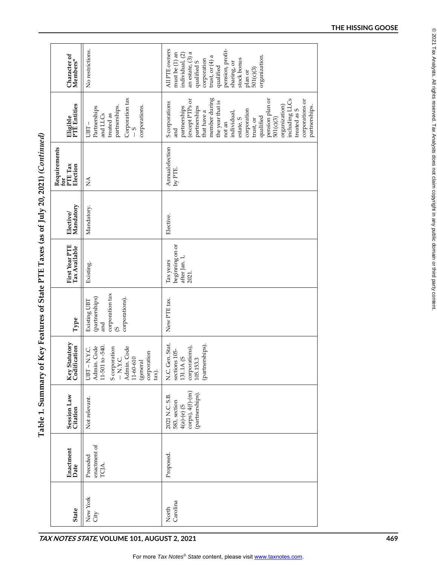| ${\bf Character\ of}\\ {\bf Members}^*$    | No restrictions.                                                                                                                                          | All PTE owners<br>pension, profit-<br>an estate, (3) a<br>must be (1) an<br>individual, (2)<br>organization.<br>trust, or $(4)$ a<br>stock bonus<br>corporation<br>qualified S<br>sharing, or<br>qualified<br>$plan or$<br>$501(c)(3)$                                                                                             |
|--------------------------------------------|-----------------------------------------------------------------------------------------------------------------------------------------------------------|------------------------------------------------------------------------------------------------------------------------------------------------------------------------------------------------------------------------------------------------------------------------------------------------------------------------------------|
| Eligible<br>PTE Entities                   | Corporation tax<br>partnerships.<br>corporations.<br>Partnerships<br>treated as<br>and LLCs<br>$UBT-$                                                     | member during<br>including LLCs<br>pension plan or<br>corporations or<br>(except PTPs or<br>the year that is<br>S corporations<br>organization)<br>partnerships.<br>partnerships<br>partnerships<br>corporation<br>treated as S<br>that have a<br>individual,<br>qualified<br>501(c)(3)<br>estate, S<br>trust, or<br>not an<br>and |
| Requirements<br>PTE Tax<br>Election<br>for | É                                                                                                                                                         | Annualelection<br>by PTE.                                                                                                                                                                                                                                                                                                          |
| Elective/<br>Mandatory                     | Mandatory.                                                                                                                                                | Elective.                                                                                                                                                                                                                                                                                                                          |
| First Year PTE<br>Tax Available            | Existing.                                                                                                                                                 | beginning on or<br>after Jan. 1,<br>Tax years<br>2021.                                                                                                                                                                                                                                                                             |
| Type                                       | corporation tax<br>(partnerships)<br>corporations).<br>Existing UBT<br>and<br>$\widehat{\infty}$                                                          | New PTE tax.                                                                                                                                                                                                                                                                                                                       |
| tatutory<br>Key Statutory<br>Codification  | 11-501 to -540.<br>Admin. Code<br>Admin. Code<br>11-60-610<br><b>S</b> corporation<br>N.Y.C.<br>corporation<br>$-$ N.Y.C.<br>(general<br>$UBT -$<br>tax). | N.C. Gen. Stat.<br>(partnerships).<br>corporations),<br>sections 105-<br>$\tilde{\omega}$<br>105.153.3<br>131.1A                                                                                                                                                                                                                   |
| Session Law<br>Citation                    | Not relevant.                                                                                                                                             | $\text{corps}$ ), $4(f)$ - $(m)$<br>(partnerships).<br>2021 N.C. S.B.<br>583, section<br>$4(a)-(e)$ (S                                                                                                                                                                                                                             |
| Enactment<br>Date                          | enactment of<br>Preceded<br>TCJA.                                                                                                                         | Proposed.                                                                                                                                                                                                                                                                                                                          |
| State                                      | New York<br>City                                                                                                                                          | North<br>Carolina                                                                                                                                                                                                                                                                                                                  |
|                                            | TAX NOTES STATE, VOLUME 101, AUGUST 2, 2021                                                                                                               |                                                                                                                                                                                                                                                                                                                                    |

Table 1. Summary of Key Features of State PTE Taxes (as of Iuly 20, 2021) (Continued)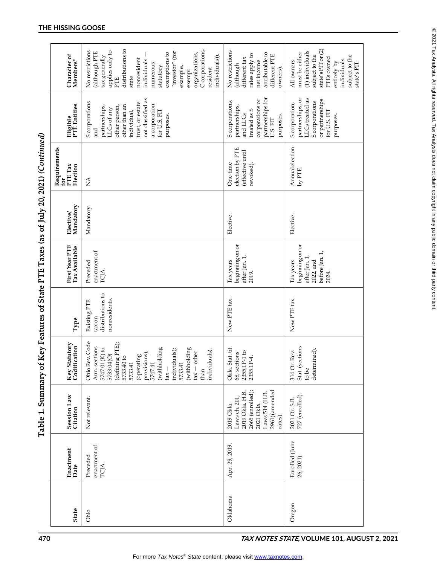| $\sim$ $\sim$ $\sim$ $\sim$<br>- ニュー・コンニュー<br>$\overline{\phantom{a}}$ |
|------------------------------------------------------------------------|
|                                                                        |
| <br> <br> <br>                                                         |
| $\overline{\phantom{a}}$<br>:                                          |
| į                                                                      |
| T Of N OT HOS                                                          |
| $\vdots$                                                               |
| י<br>ו<br>י                                                            |

| Eligible<br>PTE Entities<br>Requirements<br>PTE Tax<br>Election<br>ć | not classified as<br>S corporations<br>trust, or estate<br>other than an<br>a corporation<br>other person,<br>partnerships,<br>LLCs of any<br>for U.S. FIT<br>individual,<br>purposes.<br>nd<br>and<br>$\mathbb{A}$                                                                                      | partnerships for<br>corporations or<br>S corporations,<br>partnerships,<br>treated as S<br>and LLCs<br>purposes.<br>U.S. FIT<br>election by PTE<br>(effective until<br>One-time<br>revoked). | partnerships, or<br>LLCs treated as<br>or partnerships<br>S corporations<br>S corporation,<br>for U.S. FIT<br>purposes.<br>Annualelection<br>by PTE. |
|----------------------------------------------------------------------|----------------------------------------------------------------------------------------------------------------------------------------------------------------------------------------------------------------------------------------------------------------------------------------------------------|----------------------------------------------------------------------------------------------------------------------------------------------------------------------------------------------|------------------------------------------------------------------------------------------------------------------------------------------------------|
| Mandatory<br>Elective/                                               | Mandatory.                                                                                                                                                                                                                                                                                               | Elective.                                                                                                                                                                                    | Elective                                                                                                                                             |
| First Year PTE<br>Tax Available                                      | enactment of<br>Preceded<br>TCJA.                                                                                                                                                                                                                                                                        | beginning on or<br>after Jan. 1,<br>Tax years<br>2019.                                                                                                                                       | beginning on or<br>before Jan. 1,<br>after Jan. 1,<br>2022, and<br>Tax years<br>2024.                                                                |
| Type                                                                 | distributions to<br>nonresidents.<br>Existing PTE<br>tax on                                                                                                                                                                                                                                              | New PTE tax.                                                                                                                                                                                 | New PTE tax.                                                                                                                                         |
| Key Statutory<br>Codification                                        | Ohio Rev. Code<br>(defining $\overline{\text{PTE}}$ );<br>5733.40 to<br>Ann. sections<br>$5747.01(K)$ to<br>(withholding<br>(withholding<br>individuals);<br>individuals).<br>$\text{tax} - \text{other}$<br>(operating<br>provisions);<br>5733.04(O)<br>5747.41<br>5733.41<br>5733.41<br>$\tan$<br>than | Okla. Stat. tit.<br>2355.1P-1 to<br>68, sections<br>2355.1P-4.                                                                                                                               | Stat. (sections<br>determined).<br>Rev.<br>314 Or.<br>to be                                                                                          |
| Session Law<br>Citation                                              | Not relevant.                                                                                                                                                                                                                                                                                            | 2961)(amended<br>2665 (enrolled);<br>2019 Okla. H.B<br>Laws 514 (H.B.<br>Laws ch. 201<br>2021 Okla.<br>2019 Okla<br>rates).                                                                  | 727 (enrolled).<br>2021 Or. S.B.                                                                                                                     |
| Enactment<br>Date                                                    | enactment of<br>Preceded<br>TCJA.                                                                                                                                                                                                                                                                        | Apr. 29, 2019.                                                                                                                                                                               | Enrolled (June<br>26, 2021)                                                                                                                          |
| <b>State</b>                                                         | Ohio                                                                                                                                                                                                                                                                                                     | Oklahoma                                                                                                                                                                                     | Oregon                                                                                                                                               |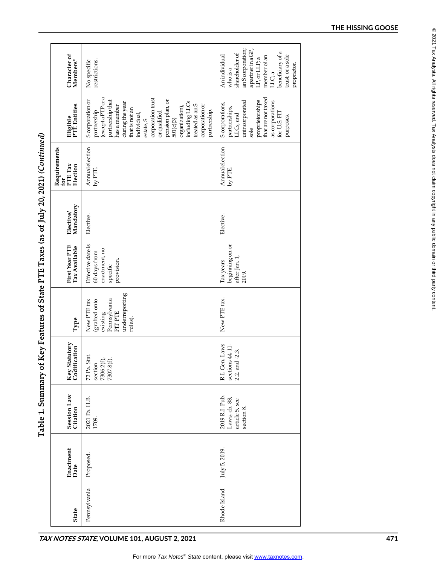|                                                                                       | Character of<br>Members*                   | restrictions.<br>No specific                                                                                                                                                                                                                                                                                                 | an Scorporation;<br>apartner in a GP,<br>beneficiary of a<br>shareholder of<br>member of an<br>trust; or a sole<br>An individual<br>LP, or LLP; a<br>proprietor.<br>whoisa<br>LLC; a |     |
|---------------------------------------------------------------------------------------|--------------------------------------------|------------------------------------------------------------------------------------------------------------------------------------------------------------------------------------------------------------------------------------------------------------------------------------------------------------------------------|--------------------------------------------------------------------------------------------------------------------------------------------------------------------------------------|-----|
|                                                                                       | Eligible<br>PTE Entities                   | (exceptaPTP or a<br>corporation trust<br>partnership that<br>pension plan, or<br>S corporation or<br>including LLCs<br>during the year<br>treated as an S<br>corporation or<br>has a member<br>organization),<br>that is not an<br>partnership.<br>partnership<br>or qualified<br>individual,<br>$501(c)$ $(3)$<br>estate, S | that are not taxed<br>proprietorships<br>unincorporated<br>as corporations<br>S corporations,<br>partnerships,<br>for U.S. FIT<br>LLCs, and<br>purposes.<br>sole                     |     |
|                                                                                       | Requirements<br>for<br>PTE Tax<br>Election | Annualelection<br>by PTE.                                                                                                                                                                                                                                                                                                    | Annualelection<br>by PTE.                                                                                                                                                            |     |
|                                                                                       | Elective/<br>Mandatory                     | Elective.                                                                                                                                                                                                                                                                                                                    | Elective.                                                                                                                                                                            |     |
|                                                                                       | First Year PTE<br>Tax Available            | Effective date is<br>enactment, no<br>60 days from<br>provision.<br>specific                                                                                                                                                                                                                                                 | beginning on or<br>after Jan. 1,<br>Tax years<br>2019.                                                                                                                               |     |
|                                                                                       | ${\bf Type}$                               | underreporting<br>Pennsylvania<br>(grafted onto<br>New PTE tax<br>PIT PTE<br>existing<br>rules).                                                                                                                                                                                                                             | New PTE tax.                                                                                                                                                                         |     |
|                                                                                       | Key Statutory<br>Codification              | 72 Pa. Stat.<br>7306.2(f),<br>7307.8(f).<br>section                                                                                                                                                                                                                                                                          | R.I. Gen. Laws<br>sections $44-11$ -<br>2.2. and -2.3.                                                                                                                               |     |
| Table 1. Summary of Key Features of State PTE Taxes (as of July 20, 2021) (Continued) | Session Law<br>Citation                    | 2021 Pa. H.B.<br>1709.                                                                                                                                                                                                                                                                                                       | 2019 R.I. Pub.<br>Laws, ch. 88,<br>article 5, see<br>section 8.                                                                                                                      |     |
|                                                                                       | Enactment<br>Date                          | Proposed.                                                                                                                                                                                                                                                                                                                    | July 5, 2019.                                                                                                                                                                        |     |
|                                                                                       | <b>State</b>                               | Pennsylvania                                                                                                                                                                                                                                                                                                                 | Rhode Island                                                                                                                                                                         |     |
|                                                                                       |                                            | TAX NOTES STATE, VOLUME 101, AUGUST 2, 2021                                                                                                                                                                                                                                                                                  |                                                                                                                                                                                      | 471 |

# $\Gamma_{\alpha\alpha}$ 4.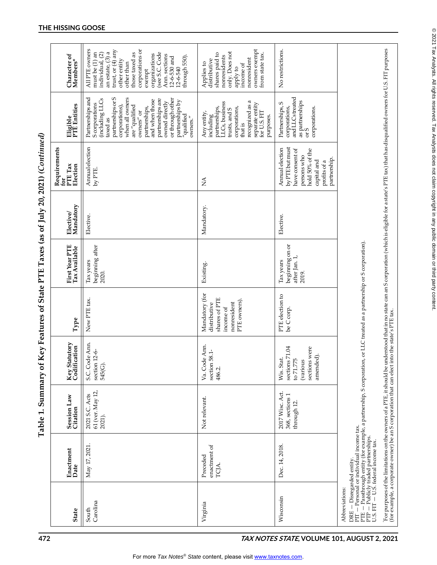| ידי ער טעט טער יין די ד'<br>axes (as of $\int$ uly 20, 2021) (             |
|----------------------------------------------------------------------------|
|                                                                            |
|                                                                            |
|                                                                            |
|                                                                            |
|                                                                            |
| $\sim$ $\sim$ $\sim$ reatures of State PTF T <sup><math>\sim</math>-</sup> |
|                                                                            |
| teat you ho wremming Loute<br>anie T. Danimai A<br>I<br>.<br>F             |

| 472                                         |                   |                                                                       | Table 1. Summary of                                                                                                                                                                                                            |                                                                                    |                                                                                             |                                                        |                        | Key Features of State PTE Taxes (as of July 20, 2021) (Continued)                                                                      |                                                                                                                                                                                                                                                                                                       |                                                                                                                                                                                                                                                                                |  |
|---------------------------------------------|-------------------|-----------------------------------------------------------------------|--------------------------------------------------------------------------------------------------------------------------------------------------------------------------------------------------------------------------------|------------------------------------------------------------------------------------|---------------------------------------------------------------------------------------------|--------------------------------------------------------|------------------------|----------------------------------------------------------------------------------------------------------------------------------------|-------------------------------------------------------------------------------------------------------------------------------------------------------------------------------------------------------------------------------------------------------------------------------------------------------|--------------------------------------------------------------------------------------------------------------------------------------------------------------------------------------------------------------------------------------------------------------------------------|--|
|                                             | State             | Enactment<br>Date                                                     | Session Law<br>Citation                                                                                                                                                                                                        | tutory<br>Key Statutory<br>Codification                                            | Type                                                                                        | First Year PTE<br>Tax Available                        | Mandatory<br>Elective/ | Requirements<br>PTE Tax<br>Election<br>ć                                                                                               | Eligible<br>PTE Entities                                                                                                                                                                                                                                                                              | Character of<br>Members*                                                                                                                                                                                                                                                       |  |
|                                             | Carolina<br>South | May 17, 2021.                                                         | 61 (ver. May 12,<br>2021 S.C. Acts<br>2021).                                                                                                                                                                                   | S.C. Code Ann.<br>section 12-6-<br>545(G).                                         | New PTE tax.                                                                                | beginning after<br>Tax years<br>2020.                  | Elective.              | Annualelection<br>by PTE.                                                                                                              | partnerships or S<br>Partnerships and<br>when all owners<br>or through other<br>partnerships are<br>(including LLCs<br>and when those<br>partnerships by<br>owned directly<br>S corporations<br>corporations),<br>are "qualified<br>partnerships,<br>owners" or<br>"qualified<br>owners."<br>taxed as | All PTE owners<br>trust, or (4) any<br>corporations or<br>an estate, (3) a<br>(see S.C. Code<br>must be (1) an<br>individual, (2)<br>those taxed as<br>organizations<br>Ann. sections<br>through 550).<br>$12-6-530$ and<br>$12-6-540$<br>other entity<br>other than<br>exempt |  |
|                                             | Virginia          | enactment of<br>Preceded<br>TCJA.                                     | Not relevant.                                                                                                                                                                                                                  | Ann.<br>section 58.1-<br>Va. Code<br>486.2.                                        | Mandatory (for<br>shares of PTE<br>PTE owners).<br>nonresident<br>distributive<br>income of | Existing.                                              | Mandatory.             | ÁN                                                                                                                                     | recognized as a<br>LLCs, business<br>separate entity<br>for U.S. FIT<br>partnerships,<br>corporations,<br>trusts, and S<br>Any entity,<br>including<br>purposes.<br>that is                                                                                                                           | owners exempt<br>only. Does not<br>from state tax.<br>shares paid to<br>nonresidents<br>nonresident<br>distributive<br>Applies to<br>income of<br>apply to                                                                                                                     |  |
| TAX NOTES STATE, VOLUME 101, AUGUST 2, 2021 | Wisconsin         | Dec. 14, 2018.                                                        | 2017 Wisc. Act.<br>368, sections 1<br>through 12.                                                                                                                                                                              | sections 71.04<br>sections were<br>amended).<br>Wis. Stat<br>to 71.775<br>(various | PTE election to<br>be C corp.                                                               | beginning on or<br>after Jan. 1,<br>Tax years<br>2019. | Elective.              | Annual election<br>by PTE but must<br>have consent of<br>hold 50% of the<br>persons who<br>partnership.<br>capital and<br>profits of a | and LLCs treated<br>as partnerships<br>Partnerships, S<br>corporations,<br>corporations.<br>or S                                                                                                                                                                                                      | No restrictions.                                                                                                                                                                                                                                                               |  |
|                                             | Abbreviations:    | DRE – Disregarded entity.<br>PIT – Personal or individual income tax. | PTE — Passthrough entity (for example, a partnership, S corporation,<br>PTP — Publicly traded partnerships.<br>U.S. FIT — U.S. federal income tax.                                                                             |                                                                                    | or LLC treated as a partnership or S corporation).                                          |                                                        |                        |                                                                                                                                        |                                                                                                                                                                                                                                                                                                       |                                                                                                                                                                                                                                                                                |  |
|                                             |                   |                                                                       | For purposes of the limitations on the owners of a PTE, it should be understood that in no state can an S corporation (which is eligible for a state's PTE tax) that has disqualified owners for U.S. FIT purposes (for exampl |                                                                                    |                                                                                             |                                                        |                        |                                                                                                                                        |                                                                                                                                                                                                                                                                                                       |                                                                                                                                                                                                                                                                                |  |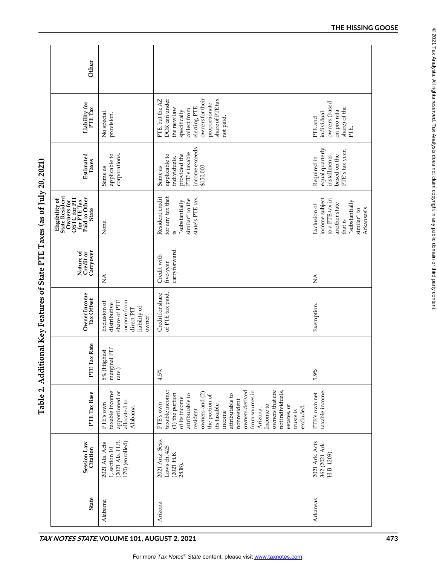| Other                                                                                                                        |                                                                                                     |                                                                                                                                                                                                                                                                                                                                                |                                                                                                                                                    |
|------------------------------------------------------------------------------------------------------------------------------|-----------------------------------------------------------------------------------------------------|------------------------------------------------------------------------------------------------------------------------------------------------------------------------------------------------------------------------------------------------------------------------------------------------------------------------------------------------|----------------------------------------------------------------------------------------------------------------------------------------------------|
| Liability for<br>PTE Tax                                                                                                     | No special<br>provision.                                                                            | DOR can under<br>ownersfortheir<br>share of PTE tax<br>PTE, but the AZ<br>proportionate<br>electing PTE<br>the new law<br>collect from<br>specifically<br>not paid.                                                                                                                                                                            | owners (based<br>share) of the<br>PTE.<br>on pro rata<br>individual<br>PTE and                                                                     |
| Estimated<br>Taxes                                                                                                           | corporations.<br>applicable to<br>Same as                                                           | income exceeds<br>PTE's taxable<br>provided the<br>applicable to<br>individuals,<br>\$150,000.<br>Same as                                                                                                                                                                                                                                      | equal quarterly<br>PTE's tax year.<br>based on the<br>installments<br>Required in                                                                  |
| <b>Eligibility of</b><br>State Resident<br>Owners for OSTC for PIT $_{\rm{flat}}^{\rm{max}}$ for PTE Tax Paid to Other State | None.                                                                                               | for any tax that<br>Resident credit<br>state's PTE tax.<br>similar" to the<br>$^{\prime\prime}$ substantially<br>2.                                                                                                                                                                                                                            | income subject<br>to a PTE tax in<br>$^{\prime\prime}$ substantially<br>another state<br>Exclusion of<br>Arkansas's.<br>$\sinh 2\pi$ to<br>that is |
| Carryover<br>Nature of<br>Credit or                                                                                          | $\lessapprox$                                                                                       | carryforward.<br>Credit with<br>five-year                                                                                                                                                                                                                                                                                                      | $\stackrel{\triangle}{\geq}$                                                                                                                       |
| Owner Income<br>Tax Offset                                                                                                   | share of PTE<br>income from<br>Exclusion of<br>distributive<br>liability of<br>direct PIT<br>owner. | Credit for share<br>of PTE tax paid.                                                                                                                                                                                                                                                                                                           | Exemption.                                                                                                                                         |
| PTE Tax Rate                                                                                                                 | marginal PIT<br>5% (Highest<br>rate.)                                                               | 4.5%                                                                                                                                                                                                                                                                                                                                           | 5.9%                                                                                                                                               |
| PTE Tax Base                                                                                                                 | taxable income<br>apportioned or<br>allocated to<br>PTE's own<br>Alabama.                           | owners derived<br>owners that are<br>from sources in<br>not individuals,<br>taxable income:<br>owners and (2)<br>$(1)$ the portion<br>attributable to<br>the portion of<br>attributable to<br>of its income<br>nonresident<br>PTE's own<br>its taxable<br>Income to<br>estates, or<br>excluded.<br>resident<br>Arizona.<br>trusts is<br>income | taxable income<br>PTE's own net                                                                                                                    |
| <b>Session Law</b><br>Citation                                                                                               | 170) (enrolled).<br>(2021 Ala. H.B.<br>2021 Ala. Acts<br>$1,$ section $10\,$                        | 2021 Ariz. Sess.<br>Laws ch. 425<br>(2021 H.B.<br>2838).                                                                                                                                                                                                                                                                                       | 2021 Ark. Acts<br>362 (2021 Ark.<br>H.B. 1209).                                                                                                    |
| <b>State</b>                                                                                                                 | Alabama                                                                                             | Arizona                                                                                                                                                                                                                                                                                                                                        | Arkansas                                                                                                                                           |

Table 2. Additional Key Features of State PTE Taxes (as of July 20, 2021)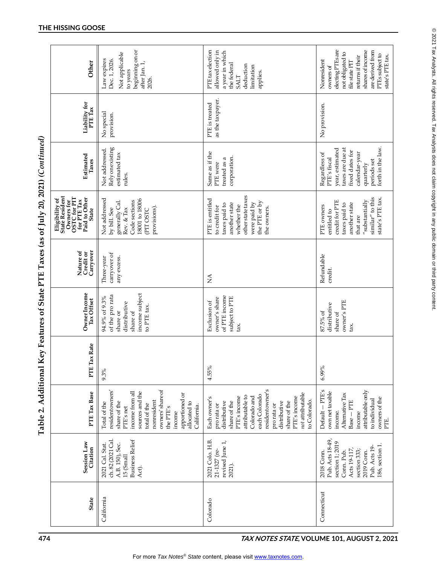| Other                                                                                                                                  | beginning on or<br>Not applicable<br>Law expires<br>Dec. 1, 2026.<br>after Jan. 1,<br>to years<br>2026.                                                                                                                       | <b>PTE</b> tax election<br>allowed only in<br>a year in which<br>the federal<br>deduction<br>limitation<br>applies.<br><b>SALT</b>                                                                                                                    | electing PTEs are<br>shares of income<br>are derived from<br>not obligated to<br>PTEs subject to<br>state's PTE tax.<br>returns if their<br>Nonresident<br>file state PIT<br>owners of |
|----------------------------------------------------------------------------------------------------------------------------------------|-------------------------------------------------------------------------------------------------------------------------------------------------------------------------------------------------------------------------------|-------------------------------------------------------------------------------------------------------------------------------------------------------------------------------------------------------------------------------------------------------|----------------------------------------------------------------------------------------------------------------------------------------------------------------------------------------|
| Liability for<br>PTE Tax                                                                                                               | No special<br>provision.                                                                                                                                                                                                      | as the taxpayer.<br>PTE is treated                                                                                                                                                                                                                    | No provision.                                                                                                                                                                          |
| Estimated<br>Taxes                                                                                                                     | Rely on existing<br>Not addressed.<br>estimated tax<br>rules.                                                                                                                                                                 | Same as if the<br>corporation.<br>treated as a<br>PTE were                                                                                                                                                                                            | forth in the law.<br>taxes are due at<br>year, estimated<br>fixed dates for<br>calendar-year<br>Regardless of<br>PTE's fiscal<br>periods set<br>quarterly                              |
| <b>Eligibility of</b><br>State Resident<br>Owners for OSTC for PIT $_{\rm{flat}}^{\rm{max}}$ for PTE Tax Paid to Other<br><b>State</b> | Not addressed<br>18001 to 18006<br>Code sections<br>generally Cal.<br>provisions).<br>Rev. & Tax<br>by bill. See<br><b>CPIT OSTC</b>                                                                                          | other state taxes<br>PTE is entitled<br>the PTE or by<br>another state<br>were paid by<br>taxes paid to<br>whether the<br>to credit for<br>the owners.                                                                                                | similar" to this<br>state's PTE tax.<br>$^{\prime\prime}$ substantially<br>redit for PTE<br>another state<br>taxes paid to<br>PTE owners<br>entitled to<br>that are                    |
| Carryover<br>Nature of<br>Credit or                                                                                                    | carryover of<br>any excess.<br>Three-year                                                                                                                                                                                     | $\mathbb{E}$                                                                                                                                                                                                                                          | Refundable<br>credit.                                                                                                                                                                  |
| Owner Income<br>Tax Offset                                                                                                             | income subject<br>of the pro rata<br>94.9% of 9.3%<br>distributive<br>to PTE tax.<br>share of<br>share or                                                                                                                     | of PTE income<br>subject to PTE<br>owner's share<br>Exclusion of<br>tax.                                                                                                                                                                              | owner's PTE<br>distributive<br>87.5% of<br>share of<br>tax.                                                                                                                            |
| PTE Tax Rate                                                                                                                           | 9.3%                                                                                                                                                                                                                          | 4.55%                                                                                                                                                                                                                                                 | 6.99%                                                                                                                                                                                  |
| PTE Tax Base                                                                                                                           | owners' share of<br>residentowners'<br>income from all<br>sources and the<br>apportioned or<br>nonresident<br>share of the<br>allocated to<br>Total of the<br>total of the<br>California.<br>PTE's net<br>the PTE's<br>income | residentowner's<br>not attributable<br>each Colorado<br>attributable to<br>Colorado and<br>PTE's income<br>PTE's income<br>Each owner's<br>to Colorado.<br>share of the<br>distributive<br>share of the<br>distributive<br>pro rata or<br>pro rata or | Default - PTE's<br>attributable only<br>own net taxable<br>Alternative Tax<br>owners of the<br>to individual<br>$Base - PTE$<br>income.<br>income<br>PTE.                              |
| <b>Session Law</b><br>Citation                                                                                                         | <b>Business Relief</b><br>ch. 82 (2021 Cal<br>A.B. 150), Sec.<br>2021 Cal. Stat.<br>15 (Small<br>Act).                                                                                                                        | 2021 Colo. H.B.<br>revised June 1,<br>21-1327 (re-<br>2021).                                                                                                                                                                                          | Pub. Acts 18-49,<br>section 1; 2019<br>186, section 1<br>Pub. Acts 19-<br>Acts 19-117<br>section 333;<br>Conn. Pub.<br>2019 Conn.<br>2018 Conn.                                        |
| <b>State</b>                                                                                                                           | California                                                                                                                                                                                                                    | Colorado                                                                                                                                                                                                                                              | Connecticut                                                                                                                                                                            |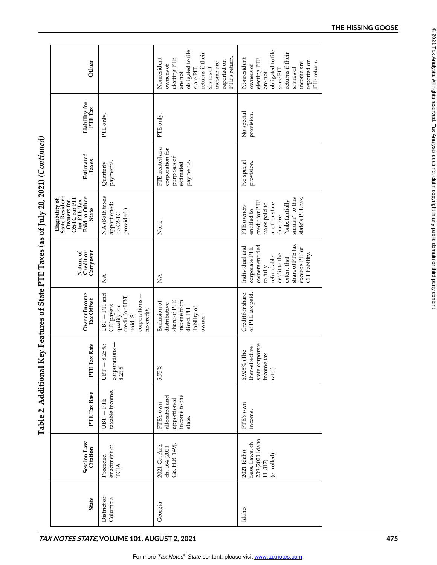| $\ldots$ 1 L 1 axes (as of July 20 $20^{11}$ |
|----------------------------------------------|
|                                              |
|                                              |
|                                              |
| $\frac{1}{2}$                                |
| PONTROH VO X JEMO                            |
|                                              |
|                                              |
| ミュコンコン                                       |

| obligated to file<br>obligated to file<br>returns if their<br>returns if their<br>PTE's return.<br>Nonresident<br>Nonresident<br>electing PTE<br>electing PTE<br>reported on<br>reported on<br>Other<br>PTE return.<br>income are<br>income are<br>owners of<br>owners of<br>shares of<br>shares of<br>state PIT<br>state PIT<br>are not<br>are not<br>Liability for<br>PTE Tax<br>No special<br>provision.<br>PTE only.<br>PTE only. |
|---------------------------------------------------------------------------------------------------------------------------------------------------------------------------------------------------------------------------------------------------------------------------------------------------------------------------------------------------------------------------------------------------------------------------------------|
|                                                                                                                                                                                                                                                                                                                                                                                                                                       |
|                                                                                                                                                                                                                                                                                                                                                                                                                                       |
| PTE treated as a<br>corporation for<br>Estimated<br>purposes of<br>Taxes<br>No special<br>payments.<br>payments.<br>provision.<br>estimated<br>Quarterly                                                                                                                                                                                                                                                                              |
| State Resident<br>NA (Both taxes<br>similar" to this<br>state's PTE tax.<br>Owners for OSTC for PIT $_{\rm{flat}}^{\rm{max}}$ for PTE Tax Paid to Other<br>Eligibility of<br>$^{\prime\prime}$ substantially<br>credit for PTE<br>another state<br>apportioned;<br>taxes paid to<br>PTE owners<br><b>State</b><br>provided.)<br>entitled to<br>no OSTC<br>that are<br>None.                                                           |
| share of PTE tax<br>owners entitled<br>Individual and<br>exceeds PIT or<br>corporate PTE<br>Nature of<br>Credit or<br>Carryover<br>CIT liability.<br>credit to the<br>refundable<br>extent that<br>to fully<br>$\lessapprox$<br>$\lessapprox$                                                                                                                                                                                         |
| Credit for share<br>Owner Income<br>Tax Offset<br>$UBT - PIT$ and<br>of PTE tax paid.<br>corporations -<br>credit for UBT<br>share of PTE<br>income from<br>Exclusion of<br>distributive<br>CIT payers<br>qualify for<br>liability of<br>direct PIT<br>no credit.<br>paid. S<br>owner.                                                                                                                                                |
| ax Rate<br>state corporate<br>$8.25\%$ ;<br>fective<br>corporations -<br>(The<br>tax<br>then-eff<br>income<br>PTE Ta<br>6.925%<br>$UBT -$<br>8.25%<br>5.75%<br>rate.)                                                                                                                                                                                                                                                                 |
| taxable income.<br>PTE Tax Base<br>income to the<br>allocated and<br>apportioned<br>$UBT - PTE$<br>PTE's own<br>PTE's own<br>income.<br>state.                                                                                                                                                                                                                                                                                        |
| 239 (2021 Idaho<br>Session Law<br>Sess. Laws, ch.<br>2021 Ga. Acts<br>Ga. H.B. 149).<br>enactment of<br>ch. 164 (2021<br>Citation<br>2021 Idaho<br>(enrolled).<br>Preceded<br>$H.317$<br>TCJA.                                                                                                                                                                                                                                        |
| District of<br>Columbia<br><b>State</b><br>Georgia<br>Idaho                                                                                                                                                                                                                                                                                                                                                                           |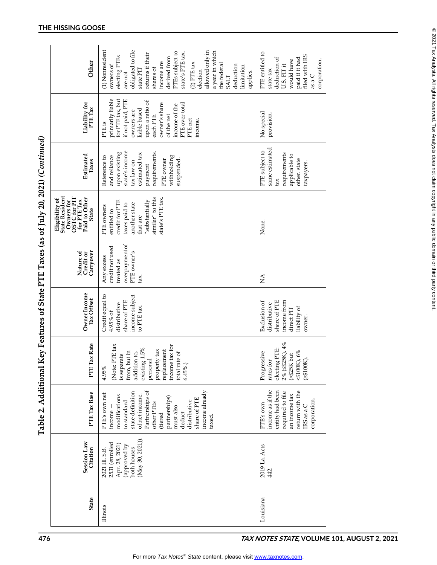|                                                                                                | Other                               | (1) Nonresident<br>obligated to file<br>allowed only in<br>a year in which<br>PTEs subject to<br>state's PTE tax.<br>returns if their<br>electing PTEs<br>derived from<br>income are<br>$(2)$ PTE tax<br>the federal<br>deduction<br>owners of<br>limitation<br>shares of<br>state PIT<br>election<br>applies.<br>are not<br><b>SALT</b> | PTE entitled to<br>filed with IRS<br>deduction of<br>paid if it had<br>corporation.<br>would have<br>U.S. FIT it<br>state tax<br>as a $C$ |  |
|------------------------------------------------------------------------------------------------|-------------------------------------|------------------------------------------------------------------------------------------------------------------------------------------------------------------------------------------------------------------------------------------------------------------------------------------------------------------------------------------|-------------------------------------------------------------------------------------------------------------------------------------------|--|
|                                                                                                | Liability for<br>PTE Tax            | primarily liable<br>for PTE tax, but<br>if not paid, PTE<br>upon a ratio of<br>PTE over total<br>owner's share<br>income of the<br>liable based<br>owners are<br>of the net<br>each PTE<br>PTE net<br>income.<br>PTE <sub>is</sub>                                                                                                       | No special<br>provision.                                                                                                                  |  |
|                                                                                                | Estimated<br>Taxes                  | state's income<br>upon existing<br>requirements.<br>estimated tax<br>withholding<br>and reliance<br>Reference to<br>PTE owner<br>suspended.<br>tax law on<br>payment                                                                                                                                                                     | same estimated<br>PTE subject to<br>requirements<br>applicable to<br>other. state<br>taxpayers.<br>tax                                    |  |
| Eligibility of<br>State Resident<br>OSTC for PIT<br>for PTE Tax<br>Paid to Other<br>Owners for | <b>State</b>                        | similar" to this<br>state's PTE tax.<br>$^{\prime\prime}$ substantially<br>credit for PTE<br>another state<br>taxes paid to<br>PTE owners<br>entitled to<br>that are                                                                                                                                                                     | None.                                                                                                                                     |  |
|                                                                                                | Carryover<br>Nature of<br>Credit or | overpayment of<br>credit not used<br>PTE owner's<br>Any excess<br>treated as<br>tax.                                                                                                                                                                                                                                                     | Ś                                                                                                                                         |  |
|                                                                                                | Owner Income<br>Tax Offset          | Credit equal to<br>income subject<br>share of PTE<br>distributive<br>to PTE tax.<br>4.95% of                                                                                                                                                                                                                                             | share of PTE<br>income from<br>Exclusion of<br>distributive<br>liability of<br>direct PIT<br>owner.                                       |  |
|                                                                                                | PTE Tax Rate                        | (Note: PTE tax<br>income tax for<br>existing 1.5%<br>replacement<br>property tax<br>from, but in<br>total rate of<br>addition to,<br>is separate<br>personal<br>$6.45\%$ .)<br>$\approx$<br>4.95°                                                                                                                                        | 2% (<\$25K), 4%<br>electing PTE:<br>$4100K$ , 6%<br>Progressive<br>(>\$25K but<br>rates for<br>(2000K)                                    |  |
|                                                                                                | PTE Tax Base                        | income already<br>Partnerships of<br>state definition<br>PTE's own net<br>of net income.<br>modifications<br>partnerships)<br>share of PTE<br>distributive<br>to standard<br>other PTEs<br>must also<br>income<br>deduct<br>(tiered<br>taxed.                                                                                            | income as if the<br>return with the<br>entity had been<br>required to file<br>an income tax<br>corporation.<br>PTE's own<br>IRS as a C    |  |
|                                                                                                | Session Law<br>Citation             | (May 30, 2021)).<br>2531 (enrolled<br>Apr. 28, 2021)<br>(approved by<br>both houses<br>2021 III. S.B.                                                                                                                                                                                                                                    | 2019 La. Acts<br>442.                                                                                                                     |  |
|                                                                                                | <b>State</b>                        | Illinois                                                                                                                                                                                                                                                                                                                                 | Louisiana                                                                                                                                 |  |
| 476                                                                                            |                                     |                                                                                                                                                                                                                                                                                                                                          | TAX NOTES STATE, VOLUME 101, AUGUST 2, 2021                                                                                               |  |

**Table 2. Additional Key Features of State PTE Taxes (as of July 20, 2021)** *(Continued)* Table 2. Additional Key Features of State PTE Taxes (as of July 20, 2021) (Continued)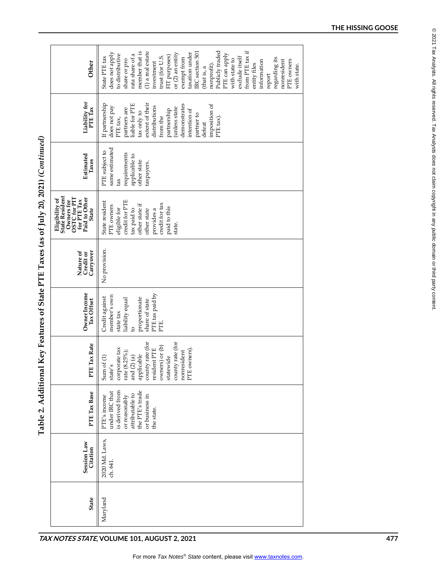Table 2. Additional Key Features of State PTE Taxes (as of July 20, 2021) (Continued)

|                                                                   | Other                                                                                                                       | from PTE tax if<br>Publicly traded<br>member that is<br>IRC section 501<br>(1) a real estate<br>taxation under<br>does not apply<br>or $(2)$ an entity<br>to distributive<br>rata share of a<br>PTE can apply<br>FIT purposes)<br>trust (for U.S.<br>exclude itself<br>State PTE tax<br>exempt from<br>regarding its<br>share or pro<br>with state to<br>nonresident<br>PTE owners<br>information<br>investment<br>nonprofit).<br>entity files<br>with state.<br>(that is, a<br>report |     |
|-------------------------------------------------------------------|-----------------------------------------------------------------------------------------------------------------------------|----------------------------------------------------------------------------------------------------------------------------------------------------------------------------------------------------------------------------------------------------------------------------------------------------------------------------------------------------------------------------------------------------------------------------------------------------------------------------------------|-----|
|                                                                   | Liability for<br>PTE Tax                                                                                                    | extent of their<br>If partnership<br>liable for PTE<br>demonstrates<br>imposition of<br>distributions<br>does not pay<br>(unless state<br>partners are<br>partnership<br>intention of<br>tax only to<br>partner to<br>from the<br>PTE tax).<br>PTE tax,<br>defeat                                                                                                                                                                                                                      |     |
| Key Features of State PTE Taxes (as of July 20, 2021) (Continued) | Estimated<br>Taxes                                                                                                          | same estimated<br>PTE subject to<br>requirements<br>applicable to<br>other state<br>taxpayers.<br>tax                                                                                                                                                                                                                                                                                                                                                                                  |     |
|                                                                   | <b>State Resident</b><br>Owners for OSTC for PIT $_{\rm{fast}}$ for PTE Tax Paid to Other<br>Eligibility of<br><b>State</b> | credit for PTE<br>State resident<br>credit for tax<br>other state if<br>PTE owners<br>paid to this<br>eligible for<br>tax paid to<br>other state<br>provides a<br>state.                                                                                                                                                                                                                                                                                                               |     |
|                                                                   | Carryover<br>Nature of<br>Credit or                                                                                         | No provision.                                                                                                                                                                                                                                                                                                                                                                                                                                                                          |     |
|                                                                   | Owner Income<br>Tax Offset                                                                                                  | PTE tax paid by<br>member's own<br>Credit against<br>proportionate<br>liability equal<br>share of state<br>state tax<br>PTE.<br>$\overline{c}$                                                                                                                                                                                                                                                                                                                                         |     |
|                                                                   | PTE Tax Rate                                                                                                                | county rate (for<br>county rate (for<br>owners) or (b)<br>PTE owners).<br>resident PTE<br>corporate tax<br>nonresident<br>rate (8.25%);<br>applicable<br>statewide<br>and (2) (a)<br>Sum of $(1)$<br>state's                                                                                                                                                                                                                                                                           |     |
| Table 2. Additional                                               | PTE Tax Base                                                                                                                | is derived from<br>the PTE's trade<br>under IRC that<br>attributable to<br>or business in<br>or reasonably<br>PTE's income<br>the state.                                                                                                                                                                                                                                                                                                                                               |     |
|                                                                   | <b>Session Law</b><br>Citation                                                                                              | 2020 Md. Laws,<br>ch. 641.                                                                                                                                                                                                                                                                                                                                                                                                                                                             |     |
|                                                                   | <b>State</b>                                                                                                                | Maryland                                                                                                                                                                                                                                                                                                                                                                                                                                                                               |     |
|                                                                   |                                                                                                                             | TAX NOTES STATE, VOLUME 101, AUGUST 2, 2021                                                                                                                                                                                                                                                                                                                                                                                                                                            | 477 |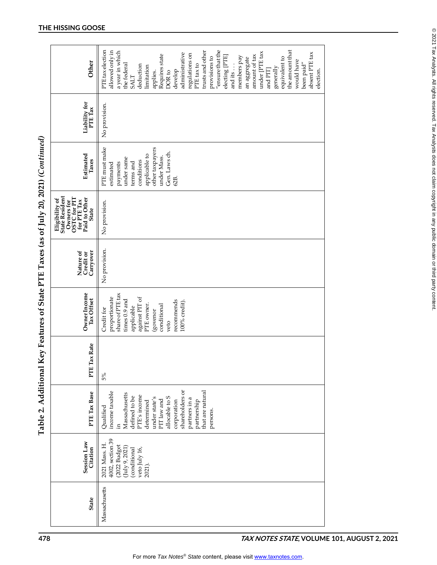| Other                                                                                                                         | "ensure that the<br>PTEtaxelection<br>trusts and other<br>the amount that<br>allowed only in<br>a year in which<br>under [PTE tax<br>administrative<br>absent PTE tax<br>regulations on<br>Requires state<br>amount of tax<br>electing [PTE]<br>members pay<br>provisions to<br>equivalent to<br>an aggregate<br>would have<br>the federal<br>been paid"<br>PTE tax to<br>deduction<br>limitation<br>generally<br>and PIT]<br>and its.<br>election.<br>develop<br>DOR <sub>to</sub><br>applies.<br><b>SALT</b> |
|-------------------------------------------------------------------------------------------------------------------------------|----------------------------------------------------------------------------------------------------------------------------------------------------------------------------------------------------------------------------------------------------------------------------------------------------------------------------------------------------------------------------------------------------------------------------------------------------------------------------------------------------------------|
| Liability for<br>PTE Tax                                                                                                      | No provision.                                                                                                                                                                                                                                                                                                                                                                                                                                                                                                  |
| Estimated<br>Taxes                                                                                                            | PTE must make<br>other taxpayers<br>Gen. Laws ch.<br>applicable to<br>under Mass.<br>under same<br>conditions<br>terms and<br>payments<br>estimated<br>62B.                                                                                                                                                                                                                                                                                                                                                    |
| State Resident<br>Owners for OSTC for PIT $_{\rm{flat}}^{\rm{F}}$ for PTE Tax Paid to Other<br>Eligibility of<br><b>State</b> | No provision.                                                                                                                                                                                                                                                                                                                                                                                                                                                                                                  |
| Carryover<br>Nature of<br>Credit or                                                                                           | No provision.                                                                                                                                                                                                                                                                                                                                                                                                                                                                                                  |
| Owner Income<br>Tax Offset                                                                                                    | share of PTE tax<br>proportionate<br>against PIT of<br>times 0.9 and<br>recommends<br>100% credit).<br>PTE owner.<br>conditional<br>applicable<br>Credit for<br>(govenor<br>veto                                                                                                                                                                                                                                                                                                                               |
| PTE Tax Rate                                                                                                                  | 5%                                                                                                                                                                                                                                                                                                                                                                                                                                                                                                             |
| PTE Tax Base                                                                                                                  | shareholders or<br>that are natural<br>income taxable<br>Massachusetts<br>PTE's income<br>allocable to S<br>defined to be<br>under state's<br>partners in a<br>PIT law and<br>corporation<br>partnership<br>determined<br>Qualified<br>persons.<br>Ę.                                                                                                                                                                                                                                                          |
| <b>Session Law</b><br>Citation                                                                                                | 4002, section 39<br>2021 Mass. H.<br>(2022 Budget<br>$($ July 9, 2021)<br>(conditional<br>veto July 16,<br>2021).                                                                                                                                                                                                                                                                                                                                                                                              |
| <b>State</b>                                                                                                                  | Massachusetts                                                                                                                                                                                                                                                                                                                                                                                                                                                                                                  |
|                                                                                                                               | TAX NOTES STATE, VOLUME 101, AUGUST 2, 2021                                                                                                                                                                                                                                                                                                                                                                                                                                                                    |

# Table 2. Additional Key Features of State PTE Taxes (as of July 20, 2021) (Continued)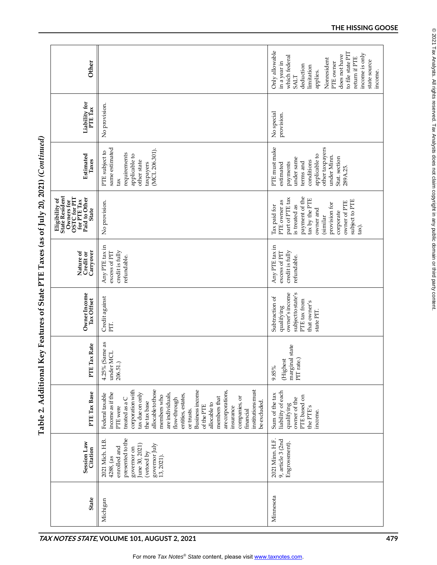| Other                                                                                                        |                                                                                                                                                                                                                                                                                                                                                                                                                    | Only allowable<br>to file state PIT<br>income is only<br>does not have<br>which federal<br>return if PTE<br>Nonresident<br>state source<br>in a year in<br>PTE owner<br>deduction<br>limitation<br>income.<br>applies.<br><b>SALT</b> |
|--------------------------------------------------------------------------------------------------------------|--------------------------------------------------------------------------------------------------------------------------------------------------------------------------------------------------------------------------------------------------------------------------------------------------------------------------------------------------------------------------------------------------------------------|---------------------------------------------------------------------------------------------------------------------------------------------------------------------------------------------------------------------------------------|
| Liability for<br>PTE Tax                                                                                     | No provision.                                                                                                                                                                                                                                                                                                                                                                                                      | No special<br>provision.                                                                                                                                                                                                              |
| Estimated<br>Taxes                                                                                           | same estimated<br>(MCL 206.301).<br>PTE subject to<br>requirements<br>applicable to<br>other state<br>taxpayers<br>tax                                                                                                                                                                                                                                                                                             | PTE must make<br>other taxpayers<br>applicable to<br>under Minn.<br>Stat. section<br>under same<br>conditions<br>terms and<br>payments<br>estimated<br>289A.25.                                                                       |
| State Resident<br>Owners for OSTC for PIT<br>for PTE Tax<br>faid to Other<br>Paid to Other<br>Eligibility of | No provision.                                                                                                                                                                                                                                                                                                                                                                                                      | payment of the<br>part of PTE tax<br>tax by the PTE<br>subject to PTE<br>PTE owner as<br>owner of PTE<br>provision for<br>Tax paid for<br>is treated as<br>owner and<br>corporate<br>similar<br>tax).                                 |
| Nature of<br>Credit or<br>Carryover                                                                          | Any PTE tax in<br>credit is fully<br>excess of PIT<br>refundable.                                                                                                                                                                                                                                                                                                                                                  | Any PTE tax in<br>credit is fully<br>excess of PIT<br>refundable.                                                                                                                                                                     |
| Owner Income<br>Tax Offset                                                                                   | Credit against<br>PIT.                                                                                                                                                                                                                                                                                                                                                                                             | subject to state's<br>owner's income<br>Subtraction of<br>PTE tax from<br>that owner's<br>qualifying<br>state PIT.                                                                                                                    |
| Tax Rate<br>FTE                                                                                              | 4.25% (Same as<br>under MCL<br>206.51.)                                                                                                                                                                                                                                                                                                                                                                            | marginal state<br>PIT rate.)<br>(Highest<br>9.85%                                                                                                                                                                                     |
| PTE Tax Base                                                                                                 | institutions must<br>corporation with<br>allocable to those<br><b>Business income</b><br>are corporations,<br>income as if the<br>tax due on only<br>are individuals,<br>entities, estates,<br>Federal taxable<br>members who<br>members that<br>companies, or<br>treated as a C<br>flow-through<br>be excluded.<br>the tax base<br>allocable to<br>of the PTE<br>PTE were<br>insurance<br>or trusts.<br>financial | liability of each<br>Sum of the tax<br>PTE based on<br>owner of the<br>qualifying<br>the PTE's<br>income.                                                                                                                             |
| <b>Session Law</b><br>Citation                                                                               | presented to the<br>2021 Mich. H.B.<br>governor July<br>June 30, 2021)<br>enrolled and<br>governor on<br>(vetoed by<br>4288, (as<br>13, 2021).                                                                                                                                                                                                                                                                     | 9, article 3 (2nd<br>2021 Minn. H.F<br>Engrossment).                                                                                                                                                                                  |
| <b>State</b>                                                                                                 | Michigan                                                                                                                                                                                                                                                                                                                                                                                                           | Minnesota                                                                                                                                                                                                                             |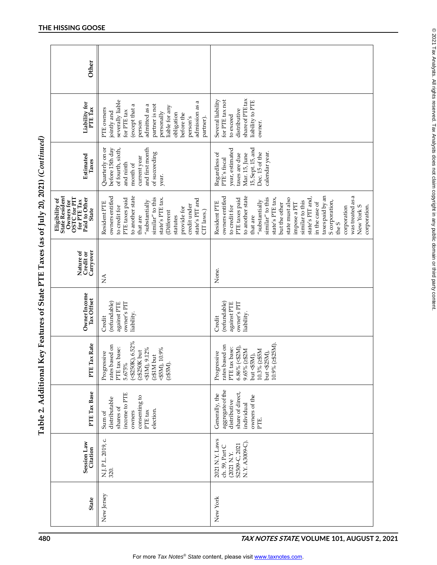| Other                                                                                                                          |                                                                                                                                                                                                                                                                               |                                                                                                                                                                                                                                                                                                                                                                                           |
|--------------------------------------------------------------------------------------------------------------------------------|-------------------------------------------------------------------------------------------------------------------------------------------------------------------------------------------------------------------------------------------------------------------------------|-------------------------------------------------------------------------------------------------------------------------------------------------------------------------------------------------------------------------------------------------------------------------------------------------------------------------------------------------------------------------------------------|
| Liability for<br>PTE Tax                                                                                                       | severally liable<br>admission as a<br>partner is not<br>admitted as a<br>(except that a<br>liable for any<br>PTE owners<br>for PTE tax<br>jointly and<br>personally<br>obligation<br>before the<br>person's<br>partner).<br>person                                            | share of PTE tax<br>for PTE tax not<br>Several liability<br>liability to PTE<br>distributive<br>to exceed<br>owner.                                                                                                                                                                                                                                                                       |
| Estimated<br>Taxes                                                                                                             | and first month<br>Quarterly on or<br>before 15th day<br>of fourth, sixth,<br>of succeeding<br>current year<br>and ninth<br>month of<br>year.                                                                                                                                 | 15, Sept. 15, and<br>year, estimated<br>calendar year.<br>Regardless of<br>Dec. 15 of the<br>Mar. 15, June<br>taxes are due<br>PTE's fiscal                                                                                                                                                                                                                                               |
| Eligibility of<br>State Resident<br>Owners for OSTC for PIT $_{\rm{Lax}}^{\rm{max}}$ for PTE Tax Paid to Other<br><b>State</b> | owners entitled<br>to another state<br>similar" to this<br>PTE taxes paid<br>state's PIT and<br>state's PTE tax.<br>$^{\prime\prime}$ substantially<br>Resident PTE<br>credit under<br>to credit for<br>provide for<br>CIT laws.)<br><b>Different</b><br>that are<br>statutes | taxes paid by an<br>was treated as a<br>owners entitled<br>to another state<br>state's PIT and,<br>similar" to this<br>state must also<br>PTE taxes paid<br>state's PTE tax,<br>S corporation,<br>"substantially<br>similar to this<br>Resident PTE<br>in the case of<br>but the other<br>impose a PIT<br>New York S<br>corporation.<br>to credit for<br>corporation<br>that are<br>the S |
| Nature of<br>Credit or<br>Carryover                                                                                            | $\sum_{i=1}^{n}$                                                                                                                                                                                                                                                              | None.                                                                                                                                                                                                                                                                                                                                                                                     |
| Owner Income<br>Tax Offset                                                                                                     | (refundable)<br>owner's PIT<br>against PTE<br>liability.<br>Credit                                                                                                                                                                                                            | (refundable)<br>owner's PIT<br>against PTE<br>liability.<br>Credit                                                                                                                                                                                                                                                                                                                        |
| PTE Tax Rate                                                                                                                   | $(*3250K), 6.52\%$<br>rates based on<br>PTE tax base:<br><b>⊲1M</b> ), 9.12%<br><b>⊲5M)</b> , 10.9%<br>(2\$250K but<br>Progressive<br>(≱1M but<br>(2\$5M).<br>5.675%                                                                                                          | 10.9% (≥\$25M).<br>rates based on<br>$6.86\%$ (<\$2M),<br>PTE tax base:<br>9.65% (2\$2M<br>10.3% (2\$5M<br>Progressive<br>but <\$25M),<br>but $\llap{<}5M$ ),                                                                                                                                                                                                                             |
| PTE Tax Base                                                                                                                   | income to PTE<br>consenting to<br>distributable<br>shares of<br>election.<br>PTE tax<br>owners<br>Sum of                                                                                                                                                                      | aggregate of the<br>share of direct,<br>Generally, the<br>owners of the<br>distributive<br>individual<br>PTE.                                                                                                                                                                                                                                                                             |
| Session Law<br>Citation                                                                                                        | N.J.P.L.2019, c.<br>320.                                                                                                                                                                                                                                                      | 2021 N.Y. Laws<br>N.Y. A3009-C)<br>S2509-C, 2021<br>ch. 59, Part C<br>(2021 N.Y.                                                                                                                                                                                                                                                                                                          |
| <b>State</b>                                                                                                                   | New Jersey                                                                                                                                                                                                                                                                    | New York                                                                                                                                                                                                                                                                                                                                                                                  |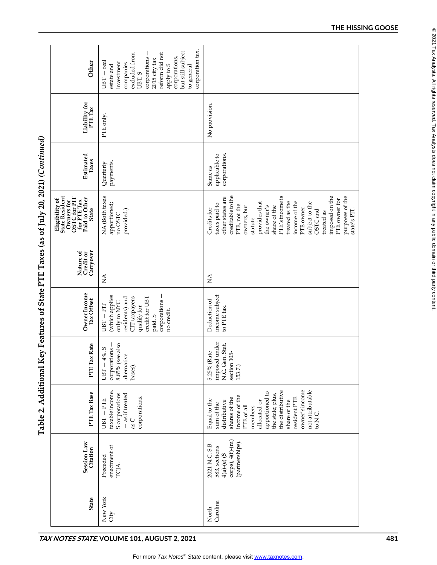| Other                                                                                                                                  | corporation tax.<br>but still subject<br>reform did not<br>excluded from<br>corporations,<br>corporations<br>2015 city tax<br>– real<br>investment<br>companies<br>apply to S<br>estate and<br>to general<br>UBT. S<br>UBT. |                                                                                                                                                                                                                                                                                                                                                      |
|----------------------------------------------------------------------------------------------------------------------------------------|-----------------------------------------------------------------------------------------------------------------------------------------------------------------------------------------------------------------------------|------------------------------------------------------------------------------------------------------------------------------------------------------------------------------------------------------------------------------------------------------------------------------------------------------------------------------------------------------|
| Liability for<br>PTE Tax                                                                                                               | PTE only.                                                                                                                                                                                                                   | No provision.                                                                                                                                                                                                                                                                                                                                        |
| Estimated<br>Taxes                                                                                                                     | payments.<br>Quarterly                                                                                                                                                                                                      | corporations.<br>applicable to<br>Same as                                                                                                                                                                                                                                                                                                            |
| <b>State Resident</b><br>Owners for OSTC for PIT $_{\rm{flat}}^{\rm{max}}$ for PTE Tax Paid to Other<br>Eligibility of<br><b>State</b> | NA (Both taxes<br>apportioned;<br>provided.)<br>no OSTC                                                                                                                                                                     | creditable to the<br>PTE's income is<br>imposed on the<br>purposes of the<br>other states are<br>PTE owner for<br>income of the<br>provides that<br>treated as the<br>subject to the<br>taxes paid to<br>PTE, not the<br>owners, but<br>the owner's<br>share of the<br>PTE owner<br>Credits for<br>OSTC and<br>state's PIT.<br>treated as<br>statute |
| Nature of<br>Credit or<br>Carryover                                                                                                    | $\lessapprox$                                                                                                                                                                                                               | $\stackrel{\triangle}{\geq}$                                                                                                                                                                                                                                                                                                                         |
| Owner Income<br>Tax Offset                                                                                                             | (which applies<br>credit for UBT<br>corporations -<br>residents) and<br>CIT taxpayers<br>only to NYC<br>$UBT-TET$<br>qualify for<br>no credit.<br>paid. S                                                                   | income subject<br>Deduction of<br>to PTE tax.                                                                                                                                                                                                                                                                                                        |
| PTE Tax Rate                                                                                                                           | 8.85% (see also<br>corporations -<br>$UBT - 4\%$ . S<br>alternative<br>bases).                                                                                                                                              | imposed under<br>N.C. Gen. Stat.<br>5.25% (Rate<br>section 105-<br>153.7.)                                                                                                                                                                                                                                                                           |
| PTE Tax Base                                                                                                                           | taxable income<br>S corporations<br>- as if treated<br>corporations.<br>$UBT - FTE$<br>as C                                                                                                                                 | owner's income<br>not attributable<br>the distributive<br>apportioned to<br>the state; plus,<br>income of the<br>resident PTE<br>shares of the<br>Equal to the<br>distributive<br>allocated or<br>share of the<br>sum of the<br>PTE of all<br>members<br>to N.C.                                                                                     |
| Session Law<br>Citation                                                                                                                | enactment of<br>Preceded<br>TCJA.                                                                                                                                                                                           | $\text{corps}$ ), $4(f)-(m)$<br>(partnerships).<br>2021 N.C. S.B.<br>583, sections<br>$4(a)-(e)$ (S                                                                                                                                                                                                                                                  |
| <b>State</b>                                                                                                                           | New York<br>City                                                                                                                                                                                                            | North<br>Carolina                                                                                                                                                                                                                                                                                                                                    |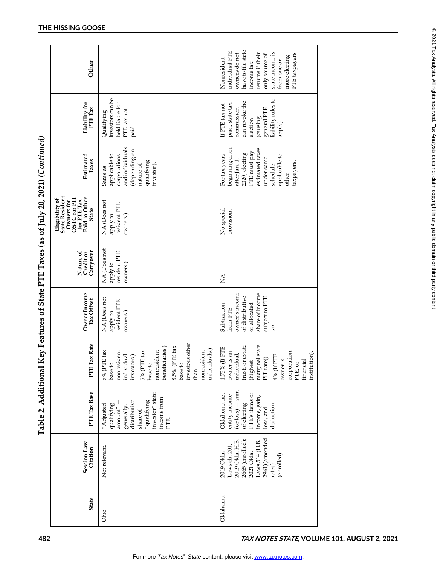| <b>CANTES C</b>                                                                 |
|---------------------------------------------------------------------------------|
|                                                                                 |
|                                                                                 |
|                                                                                 |
|                                                                                 |
|                                                                                 |
|                                                                                 |
|                                                                                 |
|                                                                                 |
|                                                                                 |
|                                                                                 |
|                                                                                 |
|                                                                                 |
| $(1 - 2)$ and $(1 - 2)$ and $(1 - 2)$<br>--<br>--<br>--<br>--                   |
|                                                                                 |
|                                                                                 |
|                                                                                 |
| -<br>-<br>-<br>-<br>5                                                           |
|                                                                                 |
| ֧֧ׅ֧ׅ֧ׅ֧֧֧ׅ֧֧֧֧֛֛֪֧֛֛֛֛֛֛֛֪֛֛֛֪֛֛֛֪֛֚֚֚֚֚֚֚֚֚֚֚֚֚֚֚֚֚֚֚֚֚֚֚֚֚֚֚֚֝֝֜֜֝֓֝֓֜֜֝֓֜֝֜ |
|                                                                                 |
| <br> <br>                                                                       |
|                                                                                 |
|                                                                                 |
| I                                                                               |
|                                                                                 |
|                                                                                 |
|                                                                                 |
| I                                                                               |
| )<br>I                                                                          |
|                                                                                 |
|                                                                                 |
|                                                                                 |
|                                                                                 |
|                                                                                 |
|                                                                                 |
|                                                                                 |
| $\mathbf{r}$                                                                    |
| $\sim$                                                                          |
|                                                                                 |
|                                                                                 |
|                                                                                 |
|                                                                                 |
|                                                                                 |
| י<br>ו                                                                          |
|                                                                                 |
|                                                                                 |
|                                                                                 |
|                                                                                 |
|                                                                                 |
| $\mathbf$                                                                       |
| .<br>,                                                                          |
| <br> <br>!                                                                      |
|                                                                                 |

| Other                                                                                                                                |                                                                                                                                                                                                                                                                                                  | have to file state<br>individual PTE<br>state income is<br>owners do not<br>PTE taxpayers.<br>returns if their<br>only source of<br>more electing<br>Nonresident<br>from one or<br>income tax   |  |  |
|--------------------------------------------------------------------------------------------------------------------------------------|--------------------------------------------------------------------------------------------------------------------------------------------------------------------------------------------------------------------------------------------------------------------------------------------------|-------------------------------------------------------------------------------------------------------------------------------------------------------------------------------------------------|--|--|
| Liability for<br>PTE Tax                                                                                                             | investors can be<br>held liable for<br>PTE tax not<br>Qualifying<br>paid.                                                                                                                                                                                                                        | liability rules to<br>can revoke the<br>If PTE tax not<br>paid, state tax<br>commission<br>general PTE<br>(causing)<br>election<br>apply).                                                      |  |  |
| Estimated<br>Taxes                                                                                                                   | andindividuals<br>estimated taxes<br>beginning on or<br>(depending on<br>PTE must pay<br>2020, electing<br>For tax years<br>applicable to<br>applicable to<br>corporations<br>under same<br>after Jan. 1,<br>qualifying<br>taxpayers.<br>nature of<br>investor).<br>schedule<br>Same as<br>other |                                                                                                                                                                                                 |  |  |
| <b>State Resident</b><br>Owners for OSTC for PIT $_{\rm{flat}}^{\rm{F}}$ for PTE Tax Paid to Other<br>Eligibility of<br><b>State</b> | NA (Does not<br>resident PTE<br>apply to<br>owners.)                                                                                                                                                                                                                                             | No special<br>provision.                                                                                                                                                                        |  |  |
| Nature of<br>Credit or<br>Carryover                                                                                                  | NA (Does not<br>resident PTE<br>apply to<br>owners.)                                                                                                                                                                                                                                             | $\lessapprox$                                                                                                                                                                                   |  |  |
| Owner Income<br>Tax Offset                                                                                                           | NA (Does not<br>resident PTE<br>owners.)<br>apply to                                                                                                                                                                                                                                             | share of income<br>owner's income<br>of distributive<br>subject to PTE<br>or allocated<br>Subtraction<br>from PTE<br>tax.                                                                       |  |  |
| PTE Tax Rate                                                                                                                         | investors other<br>beneficiaries.)<br>8.5% (PTE tax<br>individuals.)<br>nonresident<br>nonresident<br>5% (PTE tax<br>nonresident<br>5% (PTE tax<br>individual<br>investors.)<br>base to<br>base to<br>base to<br>than                                                                            | trust, or estate<br>marginal state<br>4.75% (If PTE<br>corporation,<br>owner is an<br>institution).<br>individual,<br>4% (If PTE<br>PIT rate)).<br>financial<br>owner is<br>(highest<br>PTE, or |  |  |
| PTE Tax Base                                                                                                                         | investor" state<br>income from<br>distributive<br>"qualifying"<br>qualifying<br>"Adjusted<br>generally,<br>$\mathrm{amount}^{\prime\prime}$<br>share of<br>PTE.                                                                                                                                  | $($ or loss $)$ $-$ sum<br>PTE's items of<br>Oklahoma net<br>entity income<br>income, gain,<br>of electing<br>deduction.<br>loss, and                                                           |  |  |
| <b>Session Law</b><br>Citation                                                                                                       | Not relevant.                                                                                                                                                                                                                                                                                    | 2961) (amended<br>2665 (enrolled);<br>2019 Okla. H.B.<br>Laws 514 (H.B.<br>Laws ch. 201<br>2021 Okla.<br>(enrolled).<br>2019 Okla<br>rates)                                                     |  |  |
| <b>State</b>                                                                                                                         | Ohio                                                                                                                                                                                                                                                                                             | Oklahoma                                                                                                                                                                                        |  |  |
| 482<br>TAX NOTES STATE, VOLUME 101, AUGUST 2, 2021                                                                                   |                                                                                                                                                                                                                                                                                                  |                                                                                                                                                                                                 |  |  |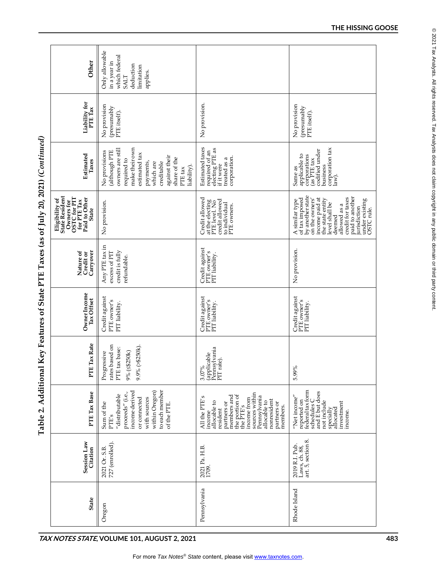| Liability for<br>PTE Tax                                                                                                        | No provision<br>(presumably<br>PTE itself).                                                                                                                                                             | No provision.                                                                                                                                                                                                               | No provision<br>(presumably<br>PTE itself).                                                                                                                                                                                                     |
|---------------------------------------------------------------------------------------------------------------------------------|---------------------------------------------------------------------------------------------------------------------------------------------------------------------------------------------------------|-----------------------------------------------------------------------------------------------------------------------------------------------------------------------------------------------------------------------------|-------------------------------------------------------------------------------------------------------------------------------------------------------------------------------------------------------------------------------------------------|
| Estimated<br>Taxes                                                                                                              | make their own<br>owners are still<br>No provisions<br>(although PTE<br>estimated tax<br>against their<br>share of the<br>required to<br>creditable<br>payments,<br>which are<br>liability).<br>PTE tax | Estimated taxes<br>required of an<br>electing PTE as<br>corporation.<br>treated as a<br>if it were                                                                                                                          | corporation tax<br>law).<br>codified under<br>business<br>applicable to<br>corporations<br>(as PTE tax<br>Same as                                                                                                                               |
| State Resident<br>Owners for OSTC for PIT $_{\rm{flat}}^{\rm{max}}$ for PTE Tax Paid to Other<br>Eligibility of<br><b>State</b> | No provision.                                                                                                                                                                                           | Credit allowed<br>credit allowed<br>at the electing<br>PTE level. No<br>to individual<br>PTE owners.                                                                                                                        | of tax imposed<br>by another state<br>credit for taxes<br>paid to another<br>income paid at<br>the state entity<br>under existing<br>OSTC rule.<br>A similar type<br>on the owners'<br>level shall be<br>allowed as a<br>jurisdiction<br>deemed |
| Carryover<br>Nature of<br>Credit or                                                                                             | Any PTE tax in<br>credit is fully<br>excess of PIT<br>refundable.                                                                                                                                       | Credit against<br>PTE owner's<br>PIT liability.                                                                                                                                                                             | No provision.                                                                                                                                                                                                                                   |
| Owner Income<br>Tax Offset                                                                                                      | Credit against<br>PTE owner's<br>PIT liability.                                                                                                                                                         | Credit against<br>PTE owner's<br>PIT liability.                                                                                                                                                                             | Credit against<br>PTE owner's<br>PIT liability.                                                                                                                                                                                                 |
| PTE Tax Rate                                                                                                                    | rates based on<br>9.9% (>\$250k).<br>PTE tax base:<br>9% (≤\$250k)<br>Progressive                                                                                                                       | (applicable<br>Pennsylvania<br>PIT rate).<br>3.07%                                                                                                                                                                          | 5.99%                                                                                                                                                                                                                                           |
| PTE Tax Base                                                                                                                    | to each member<br>income derived<br>within Oregon)<br>proceeds" (i.e.,<br>"distributable<br>with sources<br>or connected<br>Sum of the<br>of the PTE.<br>PTE's                                          | sources within<br>the portion of<br>the PTE's<br>members and<br>Pennsylvania<br>All the PTE's<br>income from<br>nonresident<br>allocable to<br>allocable to<br>partners or<br>partners or<br>members.<br>resident<br>income | reported on<br>federal tax form<br>schedules C<br>and E but does<br>"Net income"<br>not include<br>investment<br>specially<br>allocated<br>income.                                                                                              |
| <b>Session Law</b><br>Citation                                                                                                  | 727 (enrolled)<br>2021 Or. S.B.                                                                                                                                                                         | 2021 Pa. H.B.<br>1709.                                                                                                                                                                                                      | Laws, ch. $88$ ,<br>art. 5, section 8.<br>2019 R.I. Pub.                                                                                                                                                                                        |
| <b>State</b>                                                                                                                    | Oregon                                                                                                                                                                                                  | Pennsylvania                                                                                                                                                                                                                | Rhode Island                                                                                                                                                                                                                                    |

Table 2. Additional Key Features of State PTE Taxes (as of July 20, 2021) (Continued)